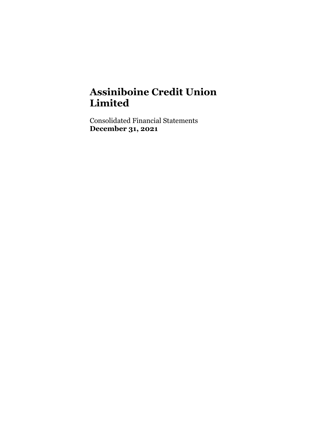Consolidated Financial Statements **December 31, 2021**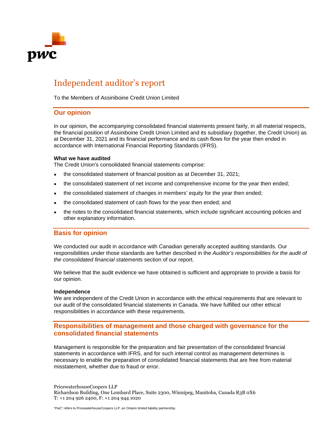

# Independent auditor's report

To the Members of Assiniboine Credit Union Limited

#### **Our opinion**

In our opinion, the accompanying consolidated financial statements present fairly, in all material respects, the financial position of Assiniboine Credit Union Limited and its subsidiary (together, the Credit Union) as at December 31, 2021 and its financial performance and its cash flows for the year then ended in accordance with International Financial Reporting Standards (IFRS).

#### **What we have audited**

The Credit Union's consolidated financial statements comprise:

- the consolidated statement of financial position as at December 31, 2021;
- the consolidated statement of net income and comprehensive income for the year then ended;
- the consolidated statement of changes in members' equity for the year then ended;
- the consolidated statement of cash flows for the year then ended; and
- the notes to the consolidated financial statements, which include significant accounting policies and other explanatory information.

#### **Basis for opinion**

We conducted our audit in accordance with Canadian generally accepted auditing standards. Our responsibilities under those standards are further described in the *Auditor's responsibilities for the audit of the consolidated financial statements* section of our report.

We believe that the audit evidence we have obtained is sufficient and appropriate to provide a basis for our opinion.

#### **Independence**

We are independent of the Credit Union in accordance with the ethical requirements that are relevant to our audit of the consolidated financial statements in Canada. We have fulfilled our other ethical responsibilities in accordance with these requirements.

### **Responsibilities of management and those charged with governance for the consolidated financial statements**

Management is responsible for the preparation and fair presentation of the consolidated financial statements in accordance with IFRS, and for such internal control as management determines is necessary to enable the preparation of consolidated financial statements that are free from material misstatement, whether due to fraud or error.

PricewaterhouseCoopers LLP Richardson Building, One Lombard Place, Suite 2300, Winnipeg, Manitoba, Canada R3B 0X6 T: +1 204 926 2400, F: +1 204 944 1020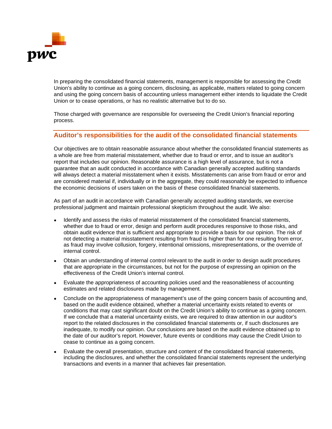

In preparing the consolidated financial statements, management is responsible for assessing the Credit Union's ability to continue as a going concern, disclosing, as applicable, matters related to going concern and using the going concern basis of accounting unless management either intends to liquidate the Credit Union or to cease operations, or has no realistic alternative but to do so.

Those charged with governance are responsible for overseeing the Credit Union's financial reporting process.

#### **Auditor's responsibilities for the audit of the consolidated financial statements**

Our objectives are to obtain reasonable assurance about whether the consolidated financial statements as a whole are free from material misstatement, whether due to fraud or error, and to issue an auditor's report that includes our opinion. Reasonable assurance is a high level of assurance, but is not a guarantee that an audit conducted in accordance with Canadian generally accepted auditing standards will always detect a material misstatement when it exists. Misstatements can arise from fraud or error and are considered material if, individually or in the aggregate, they could reasonably be expected to influence the economic decisions of users taken on the basis of these consolidated financial statements.

As part of an audit in accordance with Canadian generally accepted auditing standards, we exercise professional judgment and maintain professional skepticism throughout the audit. We also:

- Identify and assess the risks of material misstatement of the consolidated financial statements, whether due to fraud or error, design and perform audit procedures responsive to those risks, and obtain audit evidence that is sufficient and appropriate to provide a basis for our opinion. The risk of not detecting a material misstatement resulting from fraud is higher than for one resulting from error, as fraud may involve collusion, forgery, intentional omissions, misrepresentations, or the override of internal control.
- Obtain an understanding of internal control relevant to the audit in order to design audit procedures that are appropriate in the circumstances, but not for the purpose of expressing an opinion on the effectiveness of the Credit Union's internal control.
- Evaluate the appropriateness of accounting policies used and the reasonableness of accounting estimates and related disclosures made by management.
- Conclude on the appropriateness of management's use of the going concern basis of accounting and, based on the audit evidence obtained, whether a material uncertainty exists related to events or conditions that may cast significant doubt on the Credit Union's ability to continue as a going concern. If we conclude that a material uncertainty exists, we are required to draw attention in our auditor's report to the related disclosures in the consolidated financial statements or, if such disclosures are inadequate, to modify our opinion. Our conclusions are based on the audit evidence obtained up to the date of our auditor's report. However, future events or conditions may cause the Credit Union to cease to continue as a going concern.
- Evaluate the overall presentation, structure and content of the consolidated financial statements, including the disclosures, and whether the consolidated financial statements represent the underlying transactions and events in a manner that achieves fair presentation.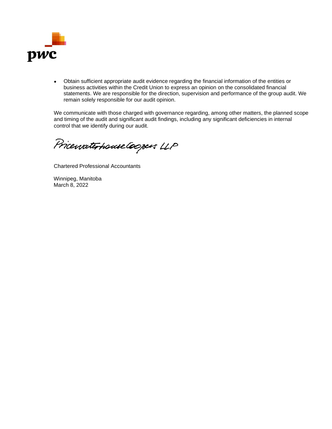

• Obtain sufficient appropriate audit evidence regarding the financial information of the entities or business activities within the Credit Union to express an opinion on the consolidated financial statements. We are responsible for the direction, supervision and performance of the group audit. We remain solely responsible for our audit opinion.

We communicate with those charged with governance regarding, among other matters, the planned scope and timing of the audit and significant audit findings, including any significant deficiencies in internal control that we identify during our audit.

Pricewaterhouse Coopers LLP

Chartered Professional Accountants

Winnipeg, Manitoba March 8, 2022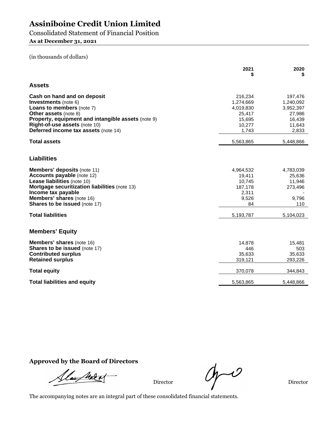Consolidated Statement of Financial Position

## **As at December 31, 2021**

(in thousands of dollars)

|                                                                                                                                                                                                                                                        | 2021                                                                     | 2020                                                                     |
|--------------------------------------------------------------------------------------------------------------------------------------------------------------------------------------------------------------------------------------------------------|--------------------------------------------------------------------------|--------------------------------------------------------------------------|
| <b>Assets</b>                                                                                                                                                                                                                                          |                                                                          |                                                                          |
| Cash on hand and on deposit<br>Investments (note 6)<br><b>Loans to members (note 7)</b><br><b>Other assets (note 8)</b><br>Property, equipment and intangible assets (note 9)<br>Right-of-use assets (note 10)<br>Deferred income tax assets (note 14) | 216,234<br>1,274,669<br>4,019,830<br>25,417<br>15,695<br>10,277<br>1,743 | 197,476<br>1,240,092<br>3,952,397<br>27,986<br>16,439<br>11,643<br>2,833 |
| <b>Total assets</b>                                                                                                                                                                                                                                    | 5,563,865                                                                | 5,448,866                                                                |
| <b>Liabilities</b>                                                                                                                                                                                                                                     |                                                                          |                                                                          |
| Members' deposits (note 11)<br><b>Accounts payable (note 12)</b><br>Lease liabilities (note 10)<br>Mortgage securitization liabilities (note 13)<br>Income tax payable<br>Members' shares (note 16)<br><b>Shares to be issued (note 17)</b>            | 4,964,532<br>19,411<br>10,745<br>187,178<br>2,311<br>9,526<br>84         | 4,783,039<br>25,636<br>11,946<br>273,496<br>9,796<br>110                 |
| <b>Total liabilities</b>                                                                                                                                                                                                                               | 5,193,787                                                                | 5,104,023                                                                |
| <b>Members' Equity</b>                                                                                                                                                                                                                                 |                                                                          |                                                                          |
| Members' shares (note 16)<br><b>Shares to be issued (note 17)</b><br><b>Contributed surplus</b><br><b>Retained surplus</b>                                                                                                                             | 14,878<br>446<br>35.633<br>319,121                                       | 15,481<br>503<br>35,633<br>293,226                                       |
| <b>Total equity</b>                                                                                                                                                                                                                                    | 370,078                                                                  | 344,843                                                                  |
| <b>Total liabilities and equity</b>                                                                                                                                                                                                                    | 5,563,865                                                                | 5,448,866                                                                |

**Approved by the Board of Directors** 

Slinflated

 $\mathcal{D}$ Director Director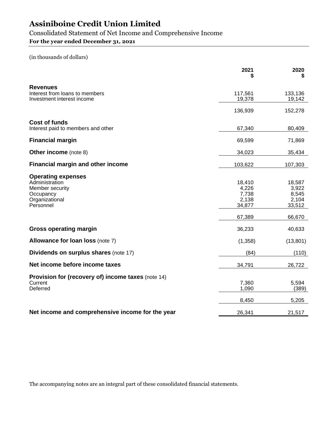Consolidated Statement of Net Income and Comprehensive Income

**For the year ended December 31, 2021** 

(in thousands of dollars)

|                                                                                                            | 2021                                                  | 2020<br>S                                             |
|------------------------------------------------------------------------------------------------------------|-------------------------------------------------------|-------------------------------------------------------|
| <b>Revenues</b><br>Interest from loans to members<br>Investment interest income                            | 117,561<br>19,378                                     | 133,136<br>19,142                                     |
|                                                                                                            | 136,939                                               | 152,278                                               |
| <b>Cost of funds</b><br>Interest paid to members and other                                                 | 67,340                                                | 80,409                                                |
| <b>Financial margin</b>                                                                                    | 69,599                                                | 71,869                                                |
| <b>Other income</b> (note 8)                                                                               | 34,023                                                | 35,434                                                |
| <b>Financial margin and other income</b>                                                                   | 103,622                                               | 107,303                                               |
| <b>Operating expenses</b><br>Administration<br>Member security<br>Occupancy<br>Organizational<br>Personnel | 18,410<br>4,226<br>7,738<br>2,138<br>34,877<br>67,389 | 18,587<br>3,922<br>8,545<br>2,104<br>33,512<br>66,670 |
| <b>Gross operating margin</b>                                                                              | 36,233                                                | 40,633                                                |
| <b>Allowance for loan loss (note 7)</b>                                                                    | (1,358)                                               | (13, 801)                                             |
| Dividends on surplus shares (note 17)                                                                      | (84)                                                  | (110)                                                 |
| Net income before income taxes                                                                             | 34,791                                                | 26,722                                                |
| Provision for (recovery of) income taxes (note 14)<br>Current<br>Deferred                                  | 7,360<br>1,090                                        | 5,594<br>(389)                                        |
|                                                                                                            | 8,450                                                 | 5,205                                                 |
| Net income and comprehensive income for the year                                                           | 26,341                                                | 21,517                                                |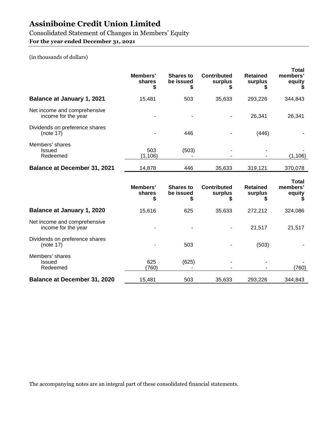# Consolidated Statement of Changes in Members' Equity

**For the year ended December 31, 2021** 

### (in thousands of dollars)

|                                                     | Members'<br>shares | <b>Shares to</b><br>be issued | <b>Contributed</b><br>surplus | <b>Retained</b><br>surplus      | <b>Total</b><br>members'<br>equity |
|-----------------------------------------------------|--------------------|-------------------------------|-------------------------------|---------------------------------|------------------------------------|
| <b>Balance at January 1, 2021</b>                   | 15,481             | 503                           | 35,633                        | 293,226                         | 344,843                            |
| Net income and comprehensive<br>income for the year |                    |                               |                               | 26,341                          | 26,341                             |
| Dividends on preference shares<br>(note 17)         |                    | 446                           |                               | (446)                           |                                    |
| Members' shares<br><b>Issued</b><br>Redeemed        | 503<br>(1,106)     | (503)                         |                               |                                 | (1, 106)                           |
| <b>Balance at December 31, 2021</b>                 | 14,878             | 446                           | 35,633                        | 319,121                         | 370,078                            |
|                                                     | Members'<br>shares | <b>Shares to</b><br>be issued | <b>Contributed</b><br>surplus | <b>Retained</b><br>surplus<br>Ъ | <b>Total</b><br>members'<br>equity |
| <b>Balance at January 1, 2020</b>                   | 15,616             | 625                           | 35,633                        | 272,212                         | 324,086                            |
| Net income and comprehensive<br>income for the year |                    |                               |                               | 21,517                          | 21,517                             |
|                                                     |                    |                               |                               |                                 |                                    |

| <b>Balance at December 31, 2020</b>         | 15.481 | 503   | 35.633 | 293.226 | 344.843 |
|---------------------------------------------|--------|-------|--------|---------|---------|
| Redeemed                                    | (760   | -     | ۰      | -       | (760)   |
| Members' shares<br><b>Issued</b>            | 625    | (625) | ٠      |         |         |
| Dividends on preference shares<br>(note 17) |        | 503   | ۰      | (503)   |         |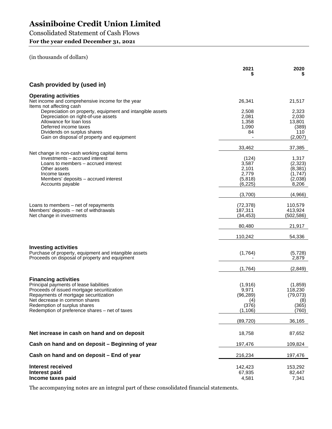Consolidated Statement of Cash Flows

**For the year ended December 31, 2021** 

(in thousands of dollars)

|                                                                                                                                                                                                                                                                                  | 2021                                                      | 2020                                                         |
|----------------------------------------------------------------------------------------------------------------------------------------------------------------------------------------------------------------------------------------------------------------------------------|-----------------------------------------------------------|--------------------------------------------------------------|
| Cash provided by (used in)                                                                                                                                                                                                                                                       |                                                           |                                                              |
| <b>Operating activities</b><br>Net income and comprehensive income for the year<br>Items not affecting cash                                                                                                                                                                      | 26,341                                                    | 21,517                                                       |
| Depreciation on property, equipment and intangible assets<br>Depreciation on right-of-use assets<br>Allowance for loan loss<br>Deferred income taxes<br>Dividends on surplus shares<br>Gain on disposal of property and equipment                                                | 2,508<br>2,081<br>1,358<br>1,090<br>84                    | 2,323<br>2,030<br>13,801<br>(389)<br>110<br>(2,007)          |
|                                                                                                                                                                                                                                                                                  | 33,462                                                    | 37,385                                                       |
| Net change in non-cash working capital items<br>Investments - accrued interest<br>Loans to members - accrued interest<br>Other assets<br>Income taxes<br>Members' deposits – accrued interest<br>Accounts payable                                                                | (124)<br>3,587<br>2,101<br>2,779<br>(5,818)<br>(6, 225)   | 1,317<br>(2, 323)<br>(8, 381)<br>(1,747)<br>(2,038)<br>8,206 |
|                                                                                                                                                                                                                                                                                  | (3,700)                                                   | (4,966)                                                      |
| Loans to members – net of repayments<br>Members' deposits - net of withdrawals<br>Net change in investments                                                                                                                                                                      | (72, 378)<br>187,311<br>(34, 453)                         | 110,579<br>413,924<br>(502, 586)                             |
|                                                                                                                                                                                                                                                                                  | 80,480                                                    | 21,917                                                       |
|                                                                                                                                                                                                                                                                                  | 110,242                                                   | 54,336                                                       |
| <b>Investing activities</b><br>Purchase of property, equipment and intangible assets<br>Proceeds on disposal of property and equipment                                                                                                                                           | (1,764)                                                   | (5,728)<br>2,879                                             |
|                                                                                                                                                                                                                                                                                  | (1,764)                                                   | (2,849)                                                      |
| <b>Financing activities</b><br>Principal payments of lease liabilities<br>Proceeds of issued mortgage securitization<br>Repayments of mortgage securitization<br>Net decrease in common shares<br>Redemption of surplus shares<br>Redemption of preference shares - net of taxes | (1,916)<br>9,971<br>(96, 289)<br>(4)<br>(376)<br>(1, 106) | (1,859)<br>118,230<br>(79, 073)<br>(8)<br>(365)<br>(760)     |
|                                                                                                                                                                                                                                                                                  | (89, 720)                                                 | 36,165                                                       |
| Net increase in cash on hand and on deposit                                                                                                                                                                                                                                      | 18,758                                                    | 87,652                                                       |
| Cash on hand and on deposit - Beginning of year                                                                                                                                                                                                                                  | 197,476                                                   | 109,824                                                      |
| Cash on hand and on deposit - End of year                                                                                                                                                                                                                                        | 216,234                                                   | 197,476                                                      |
| <b>Interest received</b><br>Interest paid<br>Income taxes paid                                                                                                                                                                                                                   | 142,423<br>67,935<br>4,581                                | 153,292<br>82,447<br>7,341                                   |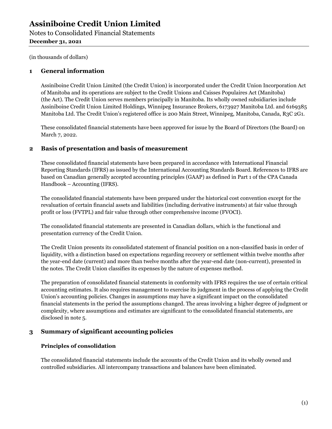Notes to Consolidated Financial Statements

# **December 31, 2021**

(in thousands of dollars)

#### **1 General information**

Assiniboine Credit Union Limited (the Credit Union) is incorporated under the Credit Union Incorporation Act of Manitoba and its operations are subject to the Credit Unions and Caisses Populaires Act (Manitoba) (the Act). The Credit Union serves members principally in Manitoba. Its wholly owned subsidiaries include Assiniboine Credit Union Limited Holdings, Winnipeg Insurance Brokers, 6173927 Manitoba Ltd. and 6169385 Manitoba Ltd. The Credit Union's registered office is 200 Main Street, Winnipeg, Manitoba, Canada, R3C 2G1.

These consolidated financial statements have been approved for issue by the Board of Directors (the Board) on March 7, 2022.

### **2 Basis of presentation and basis of measurement**

These consolidated financial statements have been prepared in accordance with International Financial Reporting Standards (IFRS) as issued by the International Accounting Standards Board. References to IFRS are based on Canadian generally accepted accounting principles (GAAP) as defined in Part 1 of the CPA Canada Handbook – Accounting (IFRS).

The consolidated financial statements have been prepared under the historical cost convention except for the revaluation of certain financial assets and liabilities (including derivative instruments) at fair value through profit or loss (FVTPL) and fair value through other comprehensive income (FVOCI).

The consolidated financial statements are presented in Canadian dollars, which is the functional and presentation currency of the Credit Union.

The Credit Union presents its consolidated statement of financial position on a non-classified basis in order of liquidity, with a distinction based on expectations regarding recovery or settlement within twelve months after the year-end date (current) and more than twelve months after the year-end date (non-current), presented in the notes. The Credit Union classifies its expenses by the nature of expenses method.

The preparation of consolidated financial statements in conformity with IFRS requires the use of certain critical accounting estimates. It also requires management to exercise its judgment in the process of applying the Credit Union's accounting policies. Changes in assumptions may have a significant impact on the consolidated financial statements in the period the assumptions changed. The areas involving a higher degree of judgment or complexity, where assumptions and estimates are significant to the consolidated financial statements, are disclosed in note 5.

### **3 Summary of significant accounting policies**

#### **Principles of consolidation**

The consolidated financial statements include the accounts of the Credit Union and its wholly owned and controlled subsidiaries. All intercompany transactions and balances have been eliminated.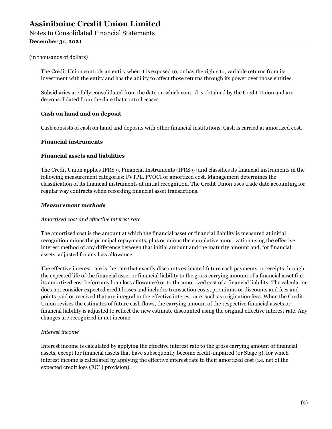### **December 31, 2021**

#### (in thousands of dollars)

The Credit Union controls an entity when it is exposed to, or has the rights to, variable returns from its investment with the entity and has the ability to affect those returns through its power over those entities.

Subsidiaries are fully consolidated from the date on which control is obtained by the Credit Union and are de-consolidated from the date that control ceases.

#### **Cash on hand and on deposit**

Cash consists of cash on hand and deposits with other financial institutions. Cash is carried at amortized cost.

#### **Financial instruments**

#### **Financial assets and liabilities**

The Credit Union applies IFRS 9, Financial Instruments (IFRS 9) and classifies its financial instruments in the following measurement categories: FVTPL, FVOCI or amortized cost. Management determines the classification of its financial instruments at initial recognition. The Credit Union uses trade date accounting for regular way contracts when recording financial asset transactions.

#### *Measurement methods*

#### *Amortized cost and effective interest rate*

The amortized cost is the amount at which the financial asset or financial liability is measured at initial recognition minus the principal repayments, plus or minus the cumulative amortization using the effective interest method of any difference between that initial amount and the maturity amount and, for financial assets, adjusted for any loss allowance.

The effective interest rate is the rate that exactly discounts estimated future cash payments or receipts through the expected life of the financial asset or financial liability to the gross carrying amount of a financial asset (i.e. its amortized cost before any loan loss allowance) or to the amortized cost of a financial liability. The calculation does not consider expected credit losses and includes transaction costs, premiums or discounts and fees and points paid or received that are integral to the effective interest rate, such as origination fees. When the Credit Union revises the estimates of future cash flows, the carrying amount of the respective financial assets or financial liability is adjusted to reflect the new estimate discounted using the original effective interest rate. Any changes are recognized in net income.

#### *Interest income*

Interest income is calculated by applying the effective interest rate to the gross carrying amount of financial assets, except for financial assets that have subsequently become credit-impaired (or Stage 3), for which interest income is calculated by applying the effective interest rate to their amortized cost (i.e. net of the expected credit loss (ECL) provision).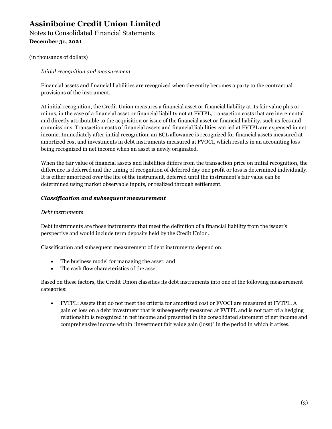Notes to Consolidated Financial Statements

**December 31, 2021** 

#### (in thousands of dollars)

#### *Initial recognition and measurement*

Financial assets and financial liabilities are recognized when the entity becomes a party to the contractual provisions of the instrument.

At initial recognition, the Credit Union measures a financial asset or financial liability at its fair value plus or minus, in the case of a financial asset or financial liability not at FVTPL, transaction costs that are incremental and directly attributable to the acquisition or issue of the financial asset or financial liability, such as fees and commissions. Transaction costs of financial assets and financial liabilities carried at FVTPL are expensed in net income. Immediately after initial recognition, an ECL allowance is recognized for financial assets measured at amortized cost and investments in debt instruments measured at FVOCI, which results in an accounting loss being recognized in net income when an asset is newly originated.

When the fair value of financial assets and liabilities differs from the transaction price on initial recognition, the difference is deferred and the timing of recognition of deferred day one profit or loss is determined individually. It is either amortized over the life of the instrument, deferred until the instrument's fair value can be determined using market observable inputs, or realized through settlement.

#### *Classification and subsequent measurement*

#### *Debt instruments*

Debt instruments are those instruments that meet the definition of a financial liability from the issuer's perspective and would include term deposits held by the Credit Union.

Classification and subsequent measurement of debt instruments depend on:

- The business model for managing the asset; and
- The cash flow characteristics of the asset.

Based on these factors, the Credit Union classifies its debt instruments into one of the following measurement categories:

 FVTPL: Assets that do not meet the criteria for amortized cost or FVOCI are measured at FVTPL. A gain or loss on a debt investment that is subsequently measured at FVTPL and is not part of a hedging relationship is recognized in net income and presented in the consolidated statement of net income and comprehensive income within "investment fair value gain (loss)" in the period in which it arises.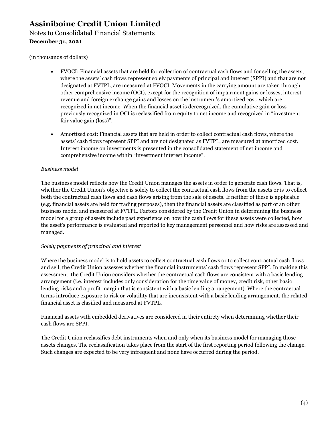(in thousands of dollars)

- FVOCI: Financial assets that are held for collection of contractual cash flows and for selling the assets, where the assets' cash flows represent solely payments of principal and interest (SPPI) and that are not designated at FVTPL, are measured at FVOCI. Movements in the carrying amount are taken through other comprehensive income (OCI), except for the recognition of impairment gains or losses, interest revenue and foreign exchange gains and losses on the instrument's amortized cost, which are recognized in net income. When the financial asset is derecognized, the cumulative gain or loss previously recognized in OCI is reclassified from equity to net income and recognized in "investment fair value gain (loss)".
- Amortized cost: Financial assets that are held in order to collect contractual cash flows, where the assets' cash flows represent SPPI and are not designated as FVTPL, are measured at amortized cost. Interest income on investments is presented in the consolidated statement of net income and comprehensive income within "investment interest income".

#### *Business model*

The business model reflects how the Credit Union manages the assets in order to generate cash flows. That is, whether the Credit Union's objective is solely to collect the contractual cash flows from the assets or is to collect both the contractual cash flows and cash flows arising from the sale of assets. If neither of these is applicable (e.g. financial assets are held for trading purposes), then the financial assets are classified as part of an 0ther business model and measured at FVTPL. Factors considered by the Credit Union in determining the business model for a group of assets include past experience on how the cash flows for these assets were collected, how the asset's performance is evaluated and reported to key management personnel and how risks are assessed and managed.

#### *Solely payments of principal and interest*

Where the business model is to hold assets to collect contractual cash flows or to collect contractual cash flows and sell, the Credit Union assesses whether the financial instruments' cash flows represent SPPI. In making this assessment, the Credit Union considers whether the contractual cash flows are consistent with a basic lending arrangement (i.e. interest includes only consideration for the time value of money, credit risk, other basic lending risks and a profit margin that is consistent with a basic lending arrangement). Where the contractual terms introduce exposure to risk or volatility that are inconsistent with a basic lending arrangement, the related financial asset is clasified and measured at FVTPL.

Financial assets with embedded derivatives are considered in their entirety when determining whether their cash flows are SPPI.

The Credit Union reclassifies debt instruments when and only when its business model for managing those assets changes. The reclassification takes place from the start of the first reporting period following the change. Such changes are expected to be very infrequent and none have occurred during the period.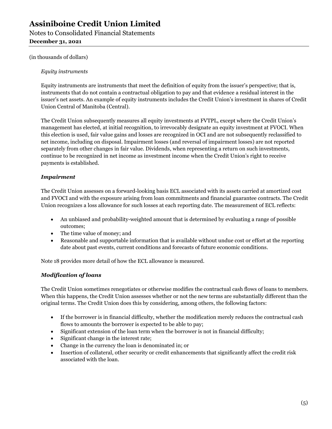Notes to Consolidated Financial Statements

# **December 31, 2021**

(in thousands of dollars)

*Equity instruments* 

Equity instruments are instruments that meet the definition of equity from the issuer's perspective; that is, instruments that do not contain a contractual obligation to pay and that evidence a residual interest in the issuer's net assets. An example of equity instruments includes the Credit Union's investment in shares of Credit Union Central of Manitoba (Central).

The Credit Union subsequently measures all equity investments at FVTPL, except where the Credit Union's management has elected, at initial recognition, to irrevocably designate an equity investment at FVOCI. When this election is used, fair value gains and losses are recognized in OCI and are not subsequently reclassified to net income, including on disposal. Impairment losses (and reversal of impairment losses) are not reported separately from other changes in fair value. Dividends, when representing a return on such investments, continue to be recognized in net income as investment income when the Credit Union's right to receive payments is established.

#### *Impairment*

The Credit Union assesses on a forward-looking basis ECL associated with its assets carried at amortized cost and FVOCI and with the exposure arising from loan commitments and financial guarantee contracts. The Credit Union recognizes a loss allowance for such losses at each reporting date. The measurement of ECL reflects:

- An unbiased and probability-weighted amount that is determined by evaluating a range of possible outcomes;
- The time value of money; and
- Reasonable and supportable information that is available without undue cost or effort at the reporting date about past events, current conditions and forecasts of future economic conditions.

Note 18 provides more detail of how the ECL allowance is measured.

#### *Modification of loans*

The Credit Union sometimes renegotiates or otherwise modifies the contractual cash flows of loans to members. When this happens, the Credit Union assesses whether or not the new terms are substantially different than the original terms. The Credit Union does this by considering, among others, the following factors:

- If the borrower is in financial difficulty, whether the modification merely reduces the contractual cash flows to amounts the borrower is expected to be able to pay;
- Significant extension of the loan term when the borrower is not in financial difficulty;
- Significant change in the interest rate;
- Change in the currency the loan is denominated in; or
- Insertion of collateral, other security or credit enhancements that significantly affect the credit risk associated with the loan.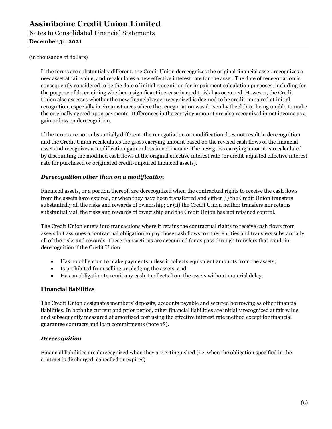Notes to Consolidated Financial Statements

### **December 31, 2021**

(in thousands of dollars)

If the terms are substantially different, the Credit Union derecognizes the original financial asset, recognizes a new asset at fair value, and recalculates a new effective interest rate for the asset. The date of renegotiation is consequently considered to be the date of initial recognition for impairment calculation purposes, including for the purpose of determining whether a significant increase in credit risk has occurred. However, the Credit Union also assesses whether the new financial asset recognized is deemed to be credit-impaired at initial recognition, especially in circumstances where the renegotiation was driven by the debtor being unable to make the originally agreed upon payments. Differences in the carrying amount are also recognized in net income as a gain or loss on derecognition.

If the terms are not substantially different, the renegotiation or modification does not result in derecognition, and the Credit Union recalculates the gross carrying amount based on the revised cash flows of the financial asset and recognizes a modification gain or loss in net income. The new gross carrying amount is recalculated by discounting the modified cash flows at the original effective interest rate (or credit-adjusted effective interest rate for purchased or originated credit-impaired financial assets).

#### *Derecognition other than on a modification*

Financial assets, or a portion thereof, are derecognized when the contractual rights to receive the cash flows from the assets have expired, or when they have been transferred and either (i) the Credit Union transfers substantially all the risks and rewards of ownership; or (ii) the Credit Union neither transfers nor retains substantially all the risks and rewards of ownership and the Credit Union has not retained control.

The Credit Union enters into transactions where it retains the contractual rights to receive cash flows from assets but assumes a contractual obligation to pay those cash flows to other entities and transfers substantially all of the risks and rewards. These transactions are accounted for as pass through transfers that result in derecognition if the Credit Union:

- Has no obligation to make payments unless it collects equivalent amounts from the assets;
- Is prohibited from selling or pledging the assets; and
- Has an obligation to remit any cash it collects from the assets without material delay.

#### **Financial liabilities**

The Credit Union designates members' deposits, accounts payable and secured borrowing as other financial liabilities. In both the current and prior period, other financial liabilities are initially recognized at fair value and subsequently measured at amortized cost using the effective interest rate method except for financial guarantee contracts and loan commitments (note 18).

### *Derecognition*

Financial liabilities are derecognized when they are extinguished (i.e. when the obligation specified in the contract is discharged, cancelled or expires).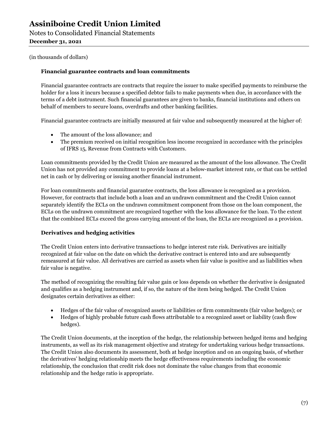### **December 31, 2021**

(in thousands of dollars)

#### **Financial guarantee contracts and loan commitments**

Financial guarantee contracts are contracts that require the issuer to make specified payments to reimburse the holder for a loss it incurs because a specified debtor fails to make payments when due, in accordance with the terms of a debt instrument. Such financial guarantees are given to banks, financial institutions and others on behalf of members to secure loans, overdrafts and other banking facilities.

Financial guarantee contracts are initially measured at fair value and subsequently measured at the higher of:

- The amount of the loss allowance; and
- The premium received on initial recognition less income recognized in accordance with the principles of IFRS 15, Revenue from Contracts with Customers.

Loan commitments provided by the Credit Union are measured as the amount of the loss allowance. The Credit Union has not provided any commitment to provide loans at a below-market interest rate, or that can be settled net in cash or by delivering or issuing another financial instrument.

For loan commitments and financial guarantee contracts, the loss allowance is recognized as a provision. However, for contracts that include both a loan and an undrawn commitment and the Credit Union cannot separately identify the ECLs on the undrawn commitment component from those on the loan component, the ECLs on the undrawn commitment are recognized together with the loss allowance for the loan. To the extent that the combined ECLs exceed the gross carrying amount of the loan, the ECLs are recognized as a provision.

#### **Derivatives and hedging activities**

The Credit Union enters into derivative transactions to hedge interest rate risk. Derivatives are initially recognized at fair value on the date on which the derivative contract is entered into and are subsequently remeasured at fair value. All derivatives are carried as assets when fair value is positive and as liabilities when fair value is negative.

The method of recognizing the resulting fair value gain or loss depends on whether the derivative is designated and qualifies as a hedging instrument and, if so, the nature of the item being hedged. The Credit Union designates certain derivatives as either:

- Hedges of the fair value of recognized assets or liabilities or firm commitments (fair value hedges); or
- Hedges of highly probable future cash flows attributable to a recognized asset or liability (cash flow hedges).

The Credit Union documents, at the inception of the hedge, the relationship between hedged items and hedging instruments, as well as its risk management objective and strategy for undertaking various hedge transactions. The Credit Union also documents its assessment, both at hedge inception and on an ongoing basis, of whether the derivatives' hedging relationship meets the hedge effectiveness requirements including the economic relationship, the conclusion that credit risk does not dominate the value changes from that economic relationship and the hedge ratio is appropriate.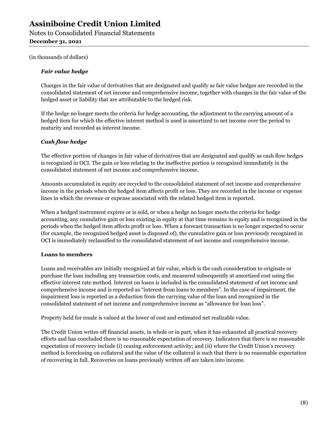Notes to Consolidated Financial Statements

# **December 31, 2021**

(in thousands of dollars)

#### *Fair value hedge*

Changes in the fair value of derivatives that are designated and qualify as fair value hedges are recorded in the consolidated statement of net income and comprehensive income, together with changes in the fair value of the hedged asset or liability that are attributable to the hedged risk.

If the hedge no longer meets the criteria for hedge accounting, the adjustment to the carrying amount of a hedged item for which the effective interest method is used is amortized to net income over the period to maturity and recorded as interest income.

#### *Cash flow hedge*

The effective portion of changes in fair value of derivatives that are designated and qualify as cash flow hedges is recognized in OCI. The gain or loss relating to the ineffective portion is recognized immediately in the consolidated statement of net income and comprehensive income.

Amounts accumulated in equity are recycled to the consolidated statement of net income and comprehensive income in the periods when the hedged item affects profit or loss. They are recorded in the income or expense lines in which the revenue or expense associated with the related hedged item is reported.

When a hedged instrument expires or is sold, or when a hedge no longer meets the criteria for hedge accounting, any cumulative gain or loss existing in equity at that time remains in equity and is recognized in the periods when the hedged item affects profit or loss. When a forecast transaction is no longer expected to occur (for example, the recognized hedged asset is disposed of), the cumulative gain or loss previously recognized in OCI is immediately reclassified to the consolidated statement of net income and comprehensive income.

#### **Loans to members**

Loans and receivables are initially recognized at fair value, which is the cash consideration to originate or purchase the loan including any transaction costs, and measured subsequently at amortized cost using the effective interest rate method. Interest on loans is included in the consolidated statement of net income and comprehensive income and is reported as "interest from loans to members". In the case of impairment, the impairment loss is reported as a deduction from the carrying value of the loan and recognized in the consolidated statement of net income and comprehensive income as "allowance for loan loss".

Property held for resale is valued at the lower of cost and estimated net realizable value.

The Credit Union writes off financial assets, in whole or in part, when it has exhausted all practical recovery efforts and has concluded there is no reasonable expectation of recovery. Indicators that there is no reasonable expectation of recovery include (i) ceasing enforcement activity; and (ii) where the Credit Union's recovery method is foreclosing on collateral and the value of the collateral is such that there is no reasonable expectation of recovering in full. Recoveries on loans previously written off are taken into income.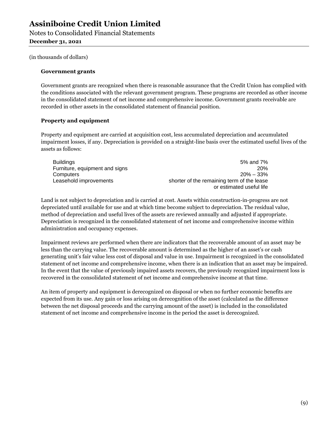**December 31, 2021** 

(in thousands of dollars)

#### **Government grants**

Government grants are recognized when there is reasonable assurance that the Credit Union has complied with the conditions associated with the relevant government program. These programs are recorded as other income in the consolidated statement of net income and comprehensive income. Government grants receivable are recorded in other assets in the consolidated statement of financial position.

### **Property and equipment**

Property and equipment are carried at acquisition cost, less accumulated depreciation and accumulated impairment losses, if any. Depreciation is provided on a straight-line basis over the estimated useful lives of the assets as follows:

| Buildings                      | 5% and 7%                                  |
|--------------------------------|--------------------------------------------|
| Furniture, equipment and signs | 20%                                        |
| Computers                      | $20\% - 33\%$                              |
| Leasehold improvements         | shorter of the remaining term of the lease |
|                                | or estimated useful life                   |

Land is not subject to depreciation and is carried at cost. Assets within construction-in-progress are not depreciated until available for use and at which time become subject to depreciation. The residual value, method of depreciation and useful lives of the assets are reviewed annually and adjusted if appropriate. Depreciation is recognized in the consolidated statement of net income and comprehensive income within administration and occupancy expenses.

Impairment reviews are performed when there are indicators that the recoverable amount of an asset may be less than the carrying value. The recoverable amount is determined as the higher of an asset's or cash generating unit's fair value less cost of disposal and value in use. Impairment is recognized in the consolidated statement of net income and comprehensive income, when there is an indication that an asset may be impaired. In the event that the value of previously impaired assets recovers, the previously recognized impairment loss is recovered in the consolidated statement of net income and comprehensive income at that time.

An item of property and equipment is derecognized on disposal or when no further economic benefits are expected from its use. Any gain or loss arising on derecognition of the asset (calculated as the difference between the net disposal proceeds and the carrying amount of the asset) is included in the consolidated statement of net income and comprehensive income in the period the asset is derecognized.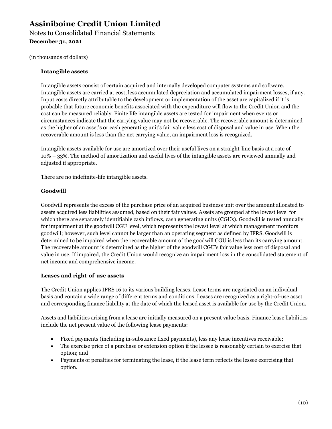Notes to Consolidated Financial Statements

## **December 31, 2021**

(in thousands of dollars)

#### **Intangible assets**

Intangible assets consist of certain acquired and internally developed computer systems and software. Intangible assets are carried at cost, less accumulated depreciation and accumulated impairment losses, if any. Input costs directly attributable to the development or implementation of the asset are capitalized if it is probable that future economic benefits associated with the expenditure will flow to the Credit Union and the cost can be measured reliably. Finite life intangible assets are tested for impairment when events or circumstances indicate that the carrying value may not be recoverable. The recoverable amount is determined as the higher of an asset's or cash generating unit's fair value less cost of disposal and value in use. When the recoverable amount is less than the net carrying value, an impairment loss is recognized.

Intangible assets available for use are amortized over their useful lives on a straight-line basis at a rate of 10% – 33%. The method of amortization and useful lives of the intangible assets are reviewed annually and adjusted if appropriate.

There are no indefinite-life intangible assets.

### **Goodwill**

Goodwill represents the excess of the purchase price of an acquired business unit over the amount allocated to assets acquired less liabilities assumed, based on their fair values. Assets are grouped at the lowest level for which there are separately identifiable cash inflows, cash generating units (CGUs). Goodwill is tested annually for impairment at the goodwill CGU level, which represents the lowest level at which management monitors goodwill; however, such level cannot be larger than an operating segment as defined by IFRS. Goodwill is determined to be impaired when the recoverable amount of the goodwill CGU is less than its carrying amount. The recoverable amount is determined as the higher of the goodwill CGU's fair value less cost of disposal and value in use. If impaired, the Credit Union would recognize an impairment loss in the consolidated statement of net income and comprehensive income.

#### **Leases and right-of-use assets**

The Credit Union applies IFRS 16 to its various building leases. Lease terms are negotiated on an individual basis and contain a wide range of different terms and conditions. Leases are recognized as a right-of-use asset and corresponding finance liability at the date of which the leased asset is available for use by the Credit Union.

Assets and liabilities arising from a lease are initially measured on a present value basis. Finance lease liabilities include the net present value of the following lease payments:

- Fixed payments (including in-substance fixed payments), less any lease incentives receivable;
- The exercise price of a purchase or extension option if the lessee is reasonably certain to exercise that option; and
- Payments of penalties for terminating the lease, if the lease term reflects the lessee exercising that option.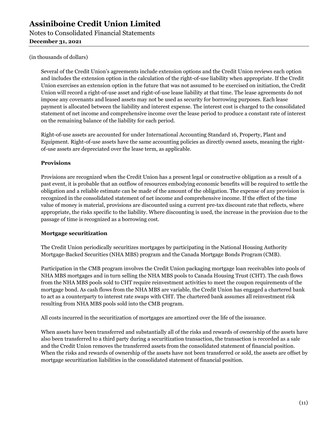Notes to Consolidated Financial Statements

### **December 31, 2021**

(in thousands of dollars)

Several of the Credit Union's agreements include extension options and the Credit Union reviews each option and includes the extension option in the calculation of the right-of-use liability when appropriate. If the Credit Union exercises an extension option in the future that was not assumed to be exercised on initiation, the Credit Union will record a right-of-use asset and right-of-use lease liability at that time. The lease agreements do not impose any covenants and leased assets may not be used as security for borrowing purposes. Each lease payment is allocated between the liability and interest expense. The interest cost is charged to the consolidated statement of net income and comprehensive income over the lease period to produce a constant rate of interest on the remaining balance of the liability for each period.

Right-of-use assets are accounted for under International Accounting Standard 16, Property, Plant and Equipment. Right-of-use assets have the same accounting policies as directly owned assets, meaning the rightof-use assets are depreciated over the lease term, as applicable.

#### **Provisions**

Provisions are recognized when the Credit Union has a present legal or constructive obligation as a result of a past event, it is probable that an outflow of resources embodying economic benefits will be required to settle the obligation and a reliable estimate can be made of the amount of the obligation. The expense of any provision is recognized in the consolidated statement of net income and comprehensive income. If the effect of the time value of money is material, provisions are discounted using a current pre-tax discount rate that reflects, where appropriate, the risks specific to the liability. Where discounting is used, the increase in the provision due to the passage of time is recognized as a borrowing cost.

#### **Mortgage securitization**

The Credit Union periodically securitizes mortgages by participating in the National Housing Authority Mortgage-Backed Securities (NHA MBS) program and the Canada Mortgage Bonds Program (CMB).

Participation in the CMB program involves the Credit Union packaging mortgage loan receivables into pools of NHA MBS mortgages and in turn selling the NHA MBS pools to Canada Housing Trust (CHT). The cash flows from the NHA MBS pools sold to CHT require reinvestment activities to meet the coupon requirements of the mortgage bond. As cash flows from the NHA MBS are variable, the Credit Union has engaged a chartered bank to act as a counterparty to interest rate swaps with CHT. The chartered bank assumes all reinvestment risk resulting from NHA MBS pools sold into the CMB program.

All costs incurred in the securitization of mortgages are amortized over the life of the issuance.

When assets have been transferred and substantially all of the risks and rewards of ownership of the assets have also been transferred to a third party during a securitization transaction, the transaction is recorded as a sale and the Credit Union removes the transferred assets from the consolidated statement of financial position. When the risks and rewards of ownership of the assets have not been transferred or sold, the assets are offset by mortgage securitization liabilities in the consolidated statement of financial position.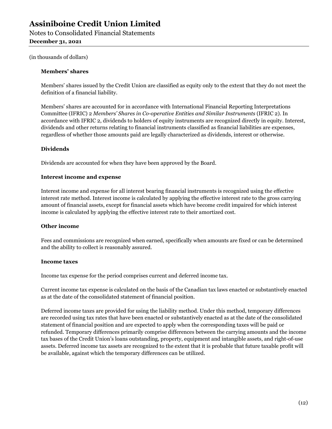Notes to Consolidated Financial Statements

### **December 31, 2021**

(in thousands of dollars)

#### **Members' shares**

Members' shares issued by the Credit Union are classified as equity only to the extent that they do not meet the definition of a financial liability.

Members' shares are accounted for in accordance with International Financial Reporting Interpretations Committee (IFRIC) 2 *Members' Shares in Co-operative Entities and Similar Instruments* (IFRIC 2). In accordance with IFRIC 2, dividends to holders of equity instruments are recognized directly in equity. Interest, dividends and other returns relating to financial instruments classified as financial liabilities are expenses, regardless of whether those amounts paid are legally characterized as dividends, interest or otherwise.

#### **Dividends**

Dividends are accounted for when they have been approved by the Board.

#### **Interest income and expense**

Interest income and expense for all interest bearing financial instruments is recognized using the effective interest rate method. Interest income is calculated by applying the effective interest rate to the gross carrying amount of financial assets, except for financial assets which have become credit impaired for which interest income is calculated by applying the effective interest rate to their amortized cost.

#### **Other income**

Fees and commissions are recognized when earned, specifically when amounts are fixed or can be determined and the ability to collect is reasonably assured.

#### **Income taxes**

Income tax expense for the period comprises current and deferred income tax.

Current income tax expense is calculated on the basis of the Canadian tax laws enacted or substantively enacted as at the date of the consolidated statement of financial position.

Deferred income taxes are provided for using the liability method. Under this method, temporary differences are recorded using tax rates that have been enacted or substantively enacted as at the date of the consolidated statement of financial position and are expected to apply when the corresponding taxes will be paid or refunded. Temporary differences primarily comprise differences between the carrying amounts and the income tax bases of the Credit Union's loans outstanding, property, equipment and intangible assets, and right-of-use assets. Deferred income tax assets are recognized to the extent that it is probable that future taxable profit will be available, against which the temporary differences can be utilized.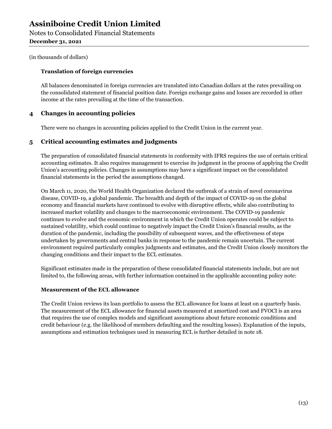**December 31, 2021** 

(in thousands of dollars)

#### **Translation of foreign currencies**

All balances denominated in foreign currencies are translated into Canadian dollars at the rates prevailing on the consolidated statement of financial position date. Foreign exchange gains and losses are recorded in other income at the rates prevailing at the time of the transaction.

### **4 Changes in accounting policies**

There were no changes in accounting policies applied to the Credit Union in the current year.

### **5 Critical accounting estimates and judgments**

The preparation of consolidated financial statements in conformity with IFRS requires the use of certain critical accounting estimates. It also requires management to exercise its judgment in the process of applying the Credit Union's accounting policies. Changes in assumptions may have a significant impact on the consolidated financial statements in the period the assumptions changed.

On March 11, 2020, the World Health Organization declared the outbreak of a strain of novel coronavirus disease, COVID-19, a global pandemic. The breadth and depth of the impact of COVID-19 on the global economy and financial markets have continued to evolve with disruptive effects, while also contributing to increased market volatility and changes to the macroeconomic environment. The COVID-19 pandemic continues to evolve and the economic environment in which the Credit Union operates could be subject to sustained volatility, which could continue to negatively impact the Credit Union's financial results, as the duration of the pandemic, including the possibility of subsequent waves, and the effectiveness of steps undertaken by governments and central banks in response to the pandemic remain uncertain. The current environment required particularly complex judgments and estimates, and the Credit Union closely monitors the changing conditions and their impact to the ECL estimates.

Significant estimates made in the preparation of these consolidated financial statements include, but are not limited to, the following areas, with further information contained in the applicable accounting policy note:

#### **Measurement of the ECL allowance**

The Credit Union reviews its loan portfolio to assess the ECL allowance for loans at least on a quarterly basis. The measurement of the ECL allowance for financial assets measured at amortized cost and FVOCI is an area that requires the use of complex models and significant assumptions about future economic conditions and credit behaviour (e.g. the likelihood of members defaulting and the resulting losses). Explanation of the inputs, assumptions and estimation techniques used in measuring ECL is further detailed in note 18.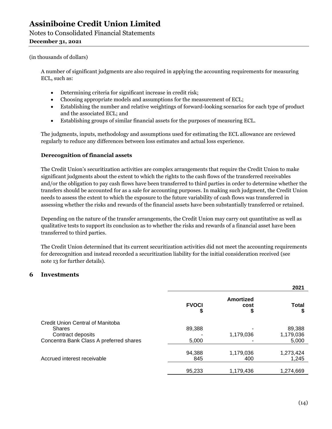#### **December 31, 2021**

#### (in thousands of dollars)

A number of significant judgments are also required in applying the accounting requirements for measuring ECL, such as:

- Determining criteria for significant increase in credit risk;
- Choosing appropriate models and assumptions for the measurement of ECL;
- Establishing the number and relative weightings of forward-looking scenarios for each type of product and the associated ECL; and
- Establishing groups of similar financial assets for the purposes of measuring ECL.

The judgments, inputs, methodology and assumptions used for estimating the ECL allowance are reviewed regularly to reduce any differences between loss estimates and actual loss experience.

#### **Derecognition of financial assets**

The Credit Union's securitization activities are complex arrangements that require the Credit Union to make significant judgments about the extent to which the rights to the cash flows of the transferred receivables and/or the obligation to pay cash flows have been transferred to third parties in order to determine whether the transfers should be accounted for as a sale for accounting purposes. In making such judgment, the Credit Union needs to assess the extent to which the exposure to the future variability of cash flows was transferred in assessing whether the risks and rewards of the financial assets have been substantially transferred or retained.

Depending on the nature of the transfer arrangements, the Credit Union may carry out quantitative as well as qualitative tests to support its conclusion as to whether the risks and rewards of a financial asset have been transferred to third parties.

The Credit Union determined that its current securitization activities did not meet the accounting requirements for derecognition and instead recorded a securitization liability for the initial consideration received (see note 13 for further details).

#### **6 Investments**

|                                                                                                                   |                    |                         | 2021                         |
|-------------------------------------------------------------------------------------------------------------------|--------------------|-------------------------|------------------------------|
|                                                                                                                   | <b>FVOCI</b><br>\$ | Amortized<br>cost<br>\$ | Total<br>\$                  |
| Credit Union Central of Manitoba<br><b>Shares</b><br>Contract deposits<br>Concentra Bank Class A preferred shares | 89,388<br>5,000    | 1,179,036               | 89,388<br>1,179,036<br>5,000 |
| Accrued interest receivable                                                                                       | 94,388<br>845      | 1,179,036<br>400        | 1,273,424<br>1,245           |
|                                                                                                                   | 95,233             | 1,179,436               | 1,274,669                    |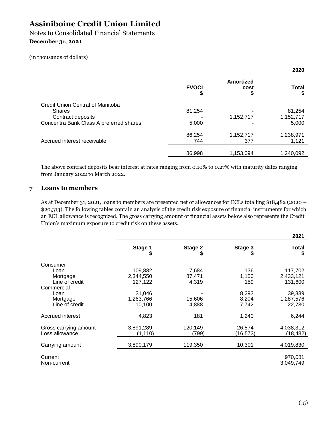Notes to Consolidated Financial Statements

### **December 31, 2021**

#### (in thousands of dollars)

|                                                                                                                   |                   |                        | 2020                         |
|-------------------------------------------------------------------------------------------------------------------|-------------------|------------------------|------------------------------|
|                                                                                                                   | <b>FVOCI</b><br>S | Amortized<br>cost<br>S | Total<br>S                   |
| Credit Union Central of Manitoba<br><b>Shares</b><br>Contract deposits<br>Concentra Bank Class A preferred shares | 81,254<br>5,000   | 1,152,717              | 81,254<br>1,152,717<br>5,000 |
| Accrued interest receivable                                                                                       | 86,254<br>744     | 1,152,717<br>377       | 1,238,971<br>1,121           |
|                                                                                                                   | 86,998            | 1,153,094              | 1,240,092                    |

The above contract deposits bear interest at rates ranging from 0.10% to 0.27% with maturity dates ranging from January 2022 to March 2022.

#### **7 Loans to members**

As at December 31, 2021, loans to members are presented net of allowances for ECLs totalling \$18,482 (2020 – \$20,313). The following tables contain an analysis of the credit risk exposure of financial instruments for which an ECL allowance is recognized. The gross carrying amount of financial assets below also represents the Credit Union's maximum exposure to credit risk on these assets.

|                       |               |               |               | 2021               |
|-----------------------|---------------|---------------|---------------|--------------------|
|                       | Stage 1<br>\$ | Stage 2<br>\$ | Stage 3<br>\$ | <b>Total</b><br>\$ |
| Consumer              |               |               |               |                    |
| Loan                  | 109,882       | 7,684         | 136           | 117,702            |
| Mortgage              | 2,344,550     | 87,471        | 1,100         | 2,433,121          |
| Line of credit        | 127,122       | 4,319         | 159           | 131,600            |
| Commercial            |               |               |               |                    |
| Loan                  | 31,046        |               | 8,293         | 39,339             |
| Mortgage              | 1,263,766     | 15,606        | 8,204         | 1,287,576          |
| Line of credit        | 10,100        | 4,888         | 7,742         | 22,730             |
| Accrued interest      | 4,823         | 181           | 1,240         | 6,244              |
| Gross carrying amount | 3,891,289     | 120,149       | 26,874        | 4,038,312          |
| Loss allowance        | (1, 110)      | (799)         | (16,573)      | (18,482)           |
| Carrying amount       | 3,890,179     | 119,350       | 10,301        | 4,019,830          |
| Current               |               |               |               | 970,081            |
| Non-current           |               |               |               | 3,049,749          |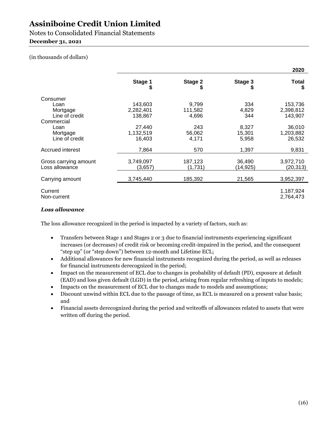# Notes to Consolidated Financial Statements

### **December 31, 2021**

#### (in thousands of dollars)

|                       |               |              |               | 2020               |
|-----------------------|---------------|--------------|---------------|--------------------|
|                       | Stage 1<br>\$ | Stage 2<br>S | Stage 3<br>\$ | <b>Total</b><br>\$ |
| Consumer              |               |              |               |                    |
| Loan                  | 143,603       | 9,799        | 334           | 153,736            |
| Mortgage              | 2,282,401     | 111,582      | 4,829         | 2,398,812          |
| Line of credit        | 138,867       | 4,696        | 344           | 143,907            |
| Commercial            |               |              |               |                    |
| Loan                  | 27,440        | 243          | 8,327         | 36,010             |
| Mortgage              | 1,132,519     | 56,062       | 15,301        | 1,203,882          |
| Line of credit        | 16,403        | 4,171        | 5,958         | 26,532             |
| Accrued interest      | 7,864         | 570          | 1,397         | 9,831              |
| Gross carrying amount | 3,749,097     | 187,123      | 36,490        | 3,972,710          |
| Loss allowance        | (3,657)       | (1,731)      | (14,925)      | (20, 313)          |
| Carrying amount       | 3,745,440     | 185,392      | 21,565        | 3,952,397          |
| Current               |               |              |               | 1,187,924          |
| Non-current           |               |              |               | 2,764,473          |
|                       |               |              |               |                    |

#### *Loss allowance*

The loss allowance recognized in the period is impacted by a variety of factors, such as:

- Transfers between Stage 1 and Stages 2 or 3 due to financial instruments experiencing significant increases (or decreases) of credit risk or becoming credit-impaired in the period, and the consequent "step up" (or "step down") between 12-month and Lifetime ECL;
- Additional allowances for new financial instruments recognized during the period, as well as releases for financial instruments derecognized in the period;
- Impact on the measurement of ECL due to changes in probability of default (PD), exposure at default (EAD) and loss given default (LGD) in the period, arising from regular refreshing of inputs to models;
- Impacts on the measurement of ECL due to changes made to models and assumptions;
- Discount unwind within ECL due to the passage of time, as ECL is measured on a present value basis; and
- Financial assets derecognized during the period and writeoffs of allowances related to assets that were written off during the period.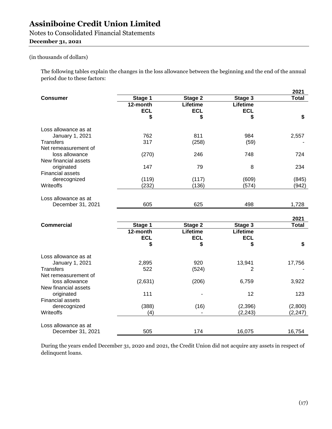# Notes to Consolidated Financial Statements

### **December 31, 2021**

#### (in thousands of dollars)

The following tables explain the changes in the loss allowance between the beginning and the end of the annual period due to these factors:

|                         |          |            |            | 2021  |
|-------------------------|----------|------------|------------|-------|
| <b>Consumer</b>         | Stage 1  | Stage 2    | Stage 3    | Total |
|                         | 12-month | Lifetime   | Lifetime   |       |
|                         | ECL      | <b>ECL</b> | <b>ECL</b> |       |
|                         | \$       | \$         | \$         | \$    |
| Loss allowance as at    |          |            |            |       |
| <b>January 1, 2021</b>  | 762      | 811        | 984        | 2,557 |
| Transfers               | 317      | (258)      | (59)       |       |
| Net remeasurement of    |          |            |            |       |
| loss allowance          | (270)    | 246        | 748        | 724   |
| New financial assets    |          |            |            |       |
| originated              | 147      | 79         | 8          | 234   |
| <b>Financial assets</b> |          |            |            |       |
| derecognized            | (119)    | (117)      | (609)      | (845) |
| <b>Writeoffs</b>        | (232)    | (136)      | (574)      | (942) |
| Loss allowance as at    |          |            |            |       |
| December 31, 2021       | 605      | 625        | 498        | 1,728 |

|                         |            |            |            | 2021     |
|-------------------------|------------|------------|------------|----------|
| Commercial              | Stage 1    | Stage 2    | Stage 3    | Total    |
|                         | 12-month   | Lifetime   | Lifetime   |          |
|                         | <b>ECL</b> | <b>ECL</b> | <b>ECL</b> |          |
|                         | \$         | \$         | \$         | \$       |
| Loss allowance as at    |            |            |            |          |
| January 1, 2021         | 2,895      | 920        | 13,941     | 17,756   |
| Transfers               | 522        | (524)      | 2          |          |
| Net remeasurement of    |            |            |            |          |
| loss allowance          | (2,631)    | (206)      | 6,759      | 3,922    |
| New financial assets    |            |            |            |          |
| originated              | 111        |            | 12         | 123      |
| <b>Financial assets</b> |            |            |            |          |
| derecognized            | (388)      | (16)       | (2,396)    | (2,800)  |
| Writeoffs               | (4)        |            | (2, 243)   | (2, 247) |
| Loss allowance as at    |            |            |            |          |
| December 31, 2021       | 505        | 174        | 16,075     | 16,754   |

During the years ended December 31, 2020 and 2021, the Credit Union did not acquire any assets in respect of delinquent loans.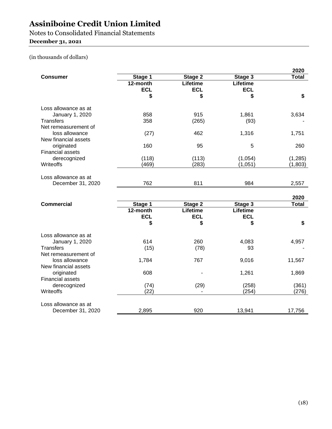Notes to Consolidated Financial Statements

# **December 31, 2021**

### (in thousands of dollars)

|                         |            |                          |            | 2020         |
|-------------------------|------------|--------------------------|------------|--------------|
| <b>Consumer</b>         | Stage 1    | Stage 2                  | Stage 3    | <b>Total</b> |
|                         | 12-month   | Lifetime                 | Lifetime   |              |
|                         | <b>ECL</b> | <b>ECL</b>               | <b>ECL</b> |              |
|                         | \$         | \$                       | \$         | \$           |
| Loss allowance as at    |            |                          |            |              |
| January 1, 2020         | 858        | 915                      | 1,861      | 3,634        |
| <b>Transfers</b>        | 358        | (265)                    | (93)       |              |
| Net remeasurement of    |            |                          |            |              |
| loss allowance          | (27)       | 462                      | 1,316      | 1,751        |
| New financial assets    |            |                          |            |              |
| originated              | 160        | 95                       | 5          | 260          |
| <b>Financial assets</b> |            |                          |            |              |
| derecognized            | (118)      | (113)                    | (1,054)    | (1, 285)     |
| Writeoffs               | (469)      | (283)                    | (1,051)    | (1,803)      |
| Loss allowance as at    |            |                          |            |              |
| December 31, 2020       | 762        | 811                      | 984        | 2,557        |
|                         |            |                          |            | 2020         |
| <b>Commercial</b>       | Stage 1    | Stage 2                  | Stage 3    | <b>Total</b> |
|                         | 12-month   | Lifetime                 | Lifetime   |              |
|                         | <b>ECL</b> | <b>ECL</b>               | <b>ECL</b> |              |
|                         | \$         | \$                       | \$         | \$           |
| Loss allowance as at    |            |                          |            |              |
| January 1, 2020         | 614        | 260                      | 4,083      | 4,957        |
| <b>Transfers</b>        | (15)       | (78)                     | 93         |              |
| Net remeasurement of    |            |                          |            |              |
| loss allowance          | 1,784      | 767                      | 9,016      | 11,567       |
| New financial assets    |            |                          |            |              |
| originated              | 608        | $\overline{\phantom{a}}$ | 1,261      | 1,869        |
| Financial assets        |            |                          |            |              |
| derecognized            | (74)       | (29)                     | (258)      | (361)        |
| Writeoffs               | (22)       |                          | (254)      | (276)        |
| Loss allowance as at    |            |                          |            |              |
| December 31, 2020       | 2,895      | 920                      | 13,941     | 17,756       |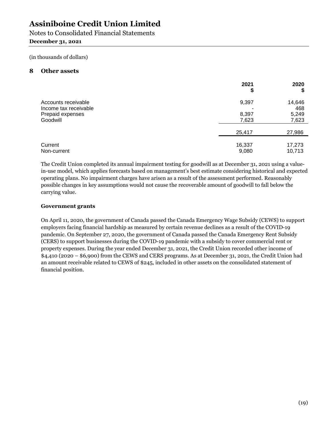Notes to Consolidated Financial Statements **December 31, 2021** 

(in thousands of dollars)

#### **8 Other assets**

|                                                                              | 2021<br>\$              | 2020                            |
|------------------------------------------------------------------------------|-------------------------|---------------------------------|
| Accounts receivable<br>Income tax receivable<br>Prepaid expenses<br>Goodwill | 9,397<br>8,397<br>7,623 | 14,646<br>468<br>5,249<br>7,623 |
|                                                                              | 25,417                  | 27,986                          |
| Current<br>Non-current                                                       | 16,337<br>9,080         | 17,273<br>10,713                |

The Credit Union completed its annual impairment testing for goodwill as at December 31, 2021 using a valuein-use model, which applies forecasts based on management's best estimate considering historical and expected operating plans. No impairment charges have arisen as a result of the assessment performed. Reasonably possible changes in key assumptions would not cause the recoverable amount of goodwill to fall below the carrying value.

#### **Government grants**

On April 11, 2020, the government of Canada passed the Canada Emergency Wage Subsidy (CEWS) to support employers facing financial hardship as measured by certain revenue declines as a result of the COVID-19 pandemic. On September 27, 2020, the government of Canada passed the Canada Emergency Rent Subsidy (CERS) to support businesses during the COVID-19 pandemic with a subsidy to cover commercial rent or property expenses. During the year ended December 31, 2021, the Credit Union recorded other income of \$4,410 (2020 – \$6,900) from the CEWS and CERS programs. As at December 31, 2021, the Credit Union had an amount receivable related to CEWS of \$245, included in other assets on the consolidated statement of financial position.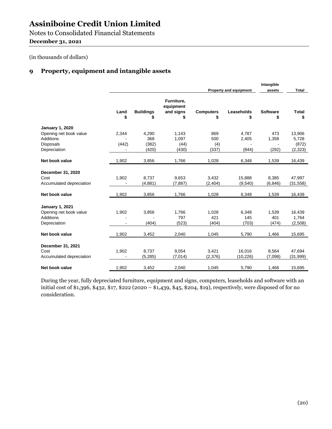Notes to Consolidated Financial Statements

**December 31, 2021** 

(in thousands of dollars)

## **9 Property, equipment and intangible assets**

|                          |            |                        |                                            |                        | <b>Property and equipment</b> | Intangible<br>assets  | Total              |
|--------------------------|------------|------------------------|--------------------------------------------|------------------------|-------------------------------|-----------------------|--------------------|
|                          | Land<br>\$ | <b>Buildings</b><br>\$ | Furniture,<br>equipment<br>and signs<br>\$ | <b>Computers</b><br>\$ | Leaseholds<br>\$              | <b>Software</b><br>\$ | <b>Total</b><br>\$ |
| <b>January 1, 2020</b>   |            |                        |                                            |                        |                               |                       |                    |
| Opening net book value   | 2,344      | 4,290                  | 1,143                                      | 869                    | 4,787                         | 473                   | 13,906             |
| <b>Additions</b>         |            | 368                    | 1,097                                      | 500                    | 2,405                         | 1,358                 | 5,728              |
| <b>Disposals</b>         | (442)      | (382)                  | (44)                                       | (4)                    |                               |                       | (872)              |
| Depreciation             |            | (420)                  | (430)                                      | (337)                  | (844)                         | (292)                 | (2, 323)           |
| Net book value           | 1,902      | 3,856                  | 1,766                                      | 1,028                  | 6,348                         | 1,539                 | 16,439             |
| December 31, 2020        |            |                        |                                            |                        |                               |                       |                    |
| Cost                     | 1,902      | 8,737                  | 9,653                                      | 3,432                  | 15,888                        | 8,385                 | 47,997             |
| Accumulated depreciation |            | (4,881)                | (7, 887)                                   | (2, 404)               | (9,540)                       | (6, 846)              | (31, 558)          |
|                          |            |                        |                                            |                        |                               |                       |                    |
| Net book value           | 1,902      | 3,856                  | 1,766                                      | 1,028                  | 6,348                         | 1,539                 | 16,439             |
| <b>January 1, 2021</b>   |            |                        |                                            |                        |                               |                       |                    |
| Opening net book value   | 1,902      | 3,856                  | 1,766                                      | 1,028                  | 6,348                         | 1,539                 | 16,439             |
| <b>Additions</b>         |            |                        | 797                                        | 421                    | 145                           | 401                   | 1,764              |
| Depreciation             |            | (404)                  | (523)                                      | (404)                  | (703)                         | (474)                 | (2,508)            |
| Net book value           | 1,902      | 3,452                  | 2,040                                      | 1,045                  | 5,790                         | 1,466                 | 15,695             |
|                          |            |                        |                                            |                        |                               |                       |                    |
| December 31, 2021        |            |                        |                                            |                        |                               |                       |                    |
| Cost                     | 1,902      | 8,737                  | 9,054                                      | 3,421                  | 16,016                        | 8,564                 | 47,694             |
| Accumulated depreciation |            | (5, 285)               | (7,014)                                    | (2,376)                | (10, 226)                     | (7,098)               | (31, 999)          |
| Net book value           | 1,902      | 3,452                  | 2,040                                      | 1,045                  | 5,790                         | 1,466                 | 15,695             |

During the year, fully depreciated furniture, equipment and signs, computers, leaseholds and software with an initial cost of \$1,396, \$432, \$17, \$222 (2020 – \$1,439, \$45, \$204, \$19), respectively, were disposed of for no consideration.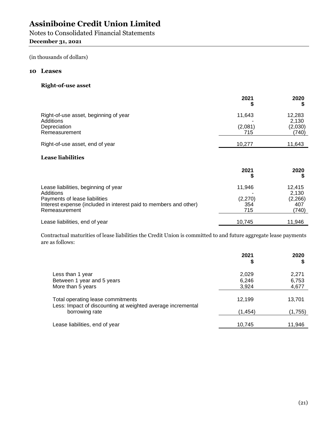Notes to Consolidated Financial Statements

# **December 31, 2021**

(in thousands of dollars)

#### **10 Leases**

#### **Right-of-use asset**

|                                                                                     | 2021                     | 2020                                |
|-------------------------------------------------------------------------------------|--------------------------|-------------------------------------|
| Right-of-use asset, beginning of year<br>Additions<br>Depreciation<br>Remeasurement | 11,643<br>(2,081)<br>715 | 12,283<br>2,130<br>(2,030)<br>(740) |
| Right-of-use asset, end of year                                                     | 10.277                   | 11,643                              |

#### **Lease liabilities**

|                                                                                                    | 2021           | 2020            |
|----------------------------------------------------------------------------------------------------|----------------|-----------------|
| Lease liabilities, beginning of year<br>Additions                                                  | 11.946         | 12.415<br>2.130 |
| Payments of lease liabilities<br>Interest expense (included in interest paid to members and other) | (2,270)<br>354 | (2,266)<br>407  |
| Remeasurement                                                                                      | 715            | (740)           |
| Lease liabilities, end of year                                                                     | 10.745         | 11,946          |

Contractual maturities of lease liabilities the Credit Union is committed to and future aggregate lease payments are as follows:

|                                                                                                                    | 2021<br>\$              | 2020<br>S               |
|--------------------------------------------------------------------------------------------------------------------|-------------------------|-------------------------|
| Less than 1 year<br>Between 1 year and 5 years<br>More than 5 years                                                | 2,029<br>6,246<br>3,924 | 2,271<br>6,753<br>4,677 |
| Total operating lease commitments<br>Less: Impact of discounting at weighted average incremental<br>borrowing rate | 12,199<br>(1, 454)      | 13,701<br>(1,755)       |
| Lease liabilities, end of year                                                                                     | 10,745                  | 11,946                  |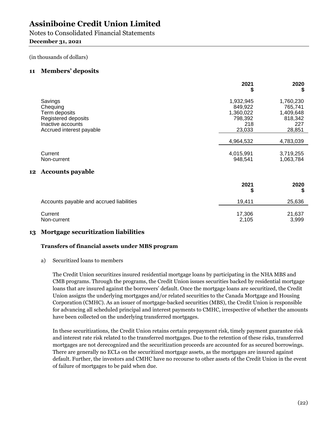Notes to Consolidated Financial Statements

### **December 31, 2021**

#### (in thousands of dollars)

#### **11 Members' deposits**

|                                          | 2021<br>S            | 2020<br>S            |
|------------------------------------------|----------------------|----------------------|
| Savings                                  | 1,932,945            | 1,760,230            |
| Chequing<br>Term deposits                | 849,922<br>1,360,022 | 765,741<br>1,409,648 |
| Registered deposits                      | 798,392              | 818,342              |
| Inactive accounts                        | 218                  | 227                  |
| Accrued interest payable                 | 23,033               | 28,851               |
|                                          | 4,964,532            | 4,783,039            |
| Current                                  | 4,015,991            | 3,719,255            |
| Non-current                              | 948,541              | 1,063,784            |
| <b>Accounts payable</b><br>12            |                      |                      |
|                                          | 2021                 | 2020                 |
|                                          | \$                   | S                    |
| Accounts payable and accrued liabilities | 19,411               | 25,636               |
| Current                                  | 17,306               | 21,637               |

Non-current 2,105 3,999

#### **13 Mortgage securitization liabilities**

#### **Transfers of financial assets under MBS program**

#### a) Securitized loans to members

The Credit Union securitizes insured residential mortgage loans by participating in the NHA MBS and CMB programs. Through the programs, the Credit Union issues securities backed by residential mortgage loans that are insured against the borrowers' default. Once the mortgage loans are securitized, the Credit Union assigns the underlying mortgages and/or related securities to the Canada Mortgage and Housing Corporation (CMHC). As an issuer of mortgage-backed securities (MBS), the Credit Union is responsible for advancing all scheduled principal and interest payments to CMHC, irrespective of whether the amounts have been collected on the underlying transferred mortgages.

In these securitizations, the Credit Union retains certain prepayment risk, timely payment guarantee risk and interest rate risk related to the transferred mortgages. Due to the retention of these risks, transferred mortgages are not derecognized and the securitization proceeds are accounted for as secured borrowings. There are generally no ECLs on the securitized mortgage assets, as the mortgages are insured against default. Further, the investors and CMHC have no recourse to other assets of the Credit Union in the event of failure of mortgages to be paid when due.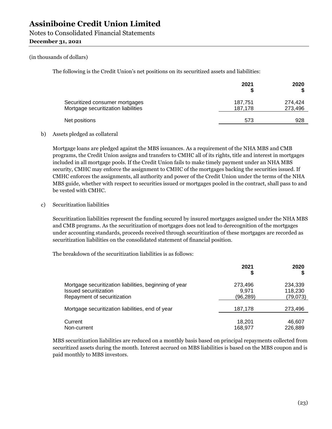### **December 31, 2021**

#### (in thousands of dollars)

The following is the Credit Union's net positions on its securitized assets and liabilities:

|                                                                       | 2021               | 2020               |
|-----------------------------------------------------------------------|--------------------|--------------------|
| Securitized consumer mortgages<br>Mortgage securitization liabilities | 187,751<br>187.178 | 274,424<br>273,496 |
| Net positions                                                         | 573                | 928                |

#### b) Assets pledged as collateral

Mortgage loans are pledged against the MBS issuances. As a requirement of the NHA MBS and CMB programs, the Credit Union assigns and transfers to CMHC all of its rights, title and interest in mortgages included in all mortgage pools. If the Credit Union fails to make timely payment under an NHA MBS security, CMHC may enforce the assignment to CMHC of the mortgages backing the securities issued. If CMHC enforces the assignments, all authority and power of the Credit Union under the terms of the NHA MBS guide, whether with respect to securities issued or mortgages pooled in the contract, shall pass to and be vested with CMHC.

#### c) Securitization liabilities

Securitization liabilities represent the funding secured by insured mortgages assigned under the NHA MBS and CMB programs. As the securitization of mortgages does not lead to derecognition of the mortgages under accounting standards, proceeds received through securitization of these mortgages are recorded as securitization liabilities on the consolidated statement of financial position.

The breakdown of the securitization liabilities is as follows:

|                                                        | 2021<br>\$ | 2020      |
|--------------------------------------------------------|------------|-----------|
| Mortgage securitization liabilities, beginning of year | 273,496    | 234,339   |
| Issued securitization                                  | 9.971      | 118,230   |
| Repayment of securitization                            | (96, 289)  | (79, 073) |
| Mortgage securitization liabilities, end of year       | 187.178    | 273,496   |
| Current                                                | 18.201     | 46,607    |
| Non-current                                            | 168,977    | 226,889   |

MBS securitization liabilities are reduced on a monthly basis based on principal repayments collected from securitized assets during the month. Interest accrued on MBS liabilities is based on the MBS coupon and is paid monthly to MBS investors.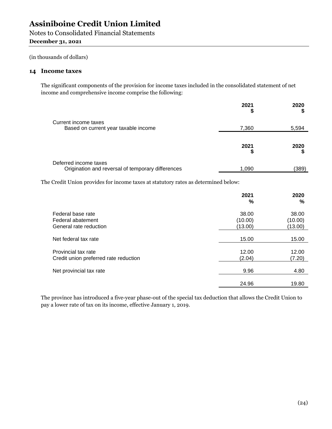Notes to Consolidated Financial Statements

# **December 31, 2021**

(in thousands of dollars)

#### **14 Income taxes**

The significant components of the provision for income taxes included in the consolidated statement of net income and comprehensive income comprise the following:

|                                                                            | 2021<br>\$ | 2020  |
|----------------------------------------------------------------------------|------------|-------|
| Current income taxes<br>Based on current year taxable income               | 7,360      | 5,594 |
|                                                                            | 2021       | 2020  |
| Deferred income taxes<br>Origination and reversal of temporary differences | 1,090      | (389) |

The Credit Union provides for income taxes at statutory rates as determined below:

|                                                                  | 2021<br>$\%$                | 2020<br>%                   |
|------------------------------------------------------------------|-----------------------------|-----------------------------|
| Federal base rate<br>Federal abatement<br>General rate reduction | 38.00<br>(10.00)<br>(13.00) | 38.00<br>(10.00)<br>(13.00) |
| Net federal tax rate                                             | 15.00                       | 15.00                       |
| Provincial tax rate<br>Credit union preferred rate reduction     | 12.00<br>(2.04)             | 12.00<br>(7.20)             |
| Net provincial tax rate                                          | 9.96                        | 4.80                        |
|                                                                  | 24.96                       | 19.80                       |

The province has introduced a five-year phase-out of the special tax deduction that allows the Credit Union to pay a lower rate of tax on its income, effective January 1, 2019.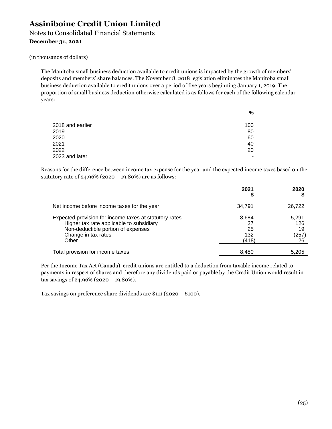Notes to Consolidated Financial Statements

# **December 31, 2021**

(in thousands of dollars)

The Manitoba small business deduction available to credit unions is impacted by the growth of members' deposits and members' share balances. The November 8, 2018 legislation eliminates the Manitoba small business deduction available to credit unions over a period of five years beginning January 1, 2019. The proportion of small business deduction otherwise calculated is as follows for each of the following calendar years:

|                  | %   |
|------------------|-----|
| 2018 and earlier | 100 |
| 2019             | 80  |
| 2020             | 60  |
| 2021             | 40  |
| 2022             | 20  |
| 2023 and later   | ۰   |

Reasons for the difference between income tax expense for the year and the expected income taxes based on the statutory rate of 24.96% (2020 – 19.80%) are as follows:

|                                                                                                                                                                          | 2021                              | 2020                              |
|--------------------------------------------------------------------------------------------------------------------------------------------------------------------------|-----------------------------------|-----------------------------------|
| Net income before income taxes for the year                                                                                                                              | 34,791                            | 26,722                            |
| Expected provision for income taxes at statutory rates<br>Higher tax rate applicable to subsidiary<br>Non-deductible portion of expenses<br>Change in tax rates<br>Other | 8,684<br>27<br>25<br>132<br>(418) | 5,291<br>126<br>19<br>(257)<br>26 |
| Total provision for income taxes                                                                                                                                         | 8,450                             | 5,205                             |

Per the Income Tax Act (Canada), credit unions are entitled to a deduction from taxable income related to payments in respect of shares and therefore any dividends paid or payable by the Credit Union would result in tax savings of 24.96% (2020 – 19.80%).

Tax savings on preference share dividends are \$111 (2020 – \$100).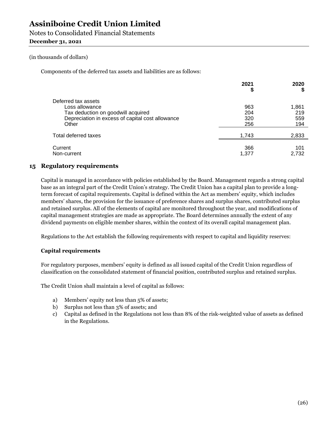### **December 31, 2021**

#### (in thousands of dollars)

Components of the deferred tax assets and liabilities are as follows:

|                                                                                                                                          | 2021<br>\$               | 2020<br>S                  |
|------------------------------------------------------------------------------------------------------------------------------------------|--------------------------|----------------------------|
| Deferred tax assets<br>Loss allowance<br>Tax deduction on goodwill acquired<br>Depreciation in excess of capital cost allowance<br>Other | 963<br>204<br>320<br>256 | 1,861<br>219<br>559<br>194 |
| Total deferred taxes                                                                                                                     | 1,743                    | 2,833                      |
| Current<br>Non-current                                                                                                                   | 366<br>1,377             | 101<br>2,732               |

### **15 Regulatory requirements**

Capital is managed in accordance with policies established by the Board. Management regards a strong capital base as an integral part of the Credit Union's strategy. The Credit Union has a capital plan to provide a longterm forecast of capital requirements. Capital is defined within the Act as members' equity, which includes members' shares, the provision for the issuance of preference shares and surplus shares, contributed surplus and retained surplus. All of the elements of capital are monitored throughout the year, and modifications of capital management strategies are made as appropriate. The Board determines annually the extent of any dividend payments on eligible member shares, within the context of its overall capital management plan.

Regulations to the Act establish the following requirements with respect to capital and liquidity reserves:

#### **Capital requirements**

For regulatory purposes, members' equity is defined as all issued capital of the Credit Union regardless of classification on the consolidated statement of financial position, contributed surplus and retained surplus.

The Credit Union shall maintain a level of capital as follows:

- a) Members' equity not less than 5% of assets;
- b) Surplus not less than 3% of assets; and
- c) Capital as defined in the Regulations not less than 8% of the risk-weighted value of assets as defined in the Regulations.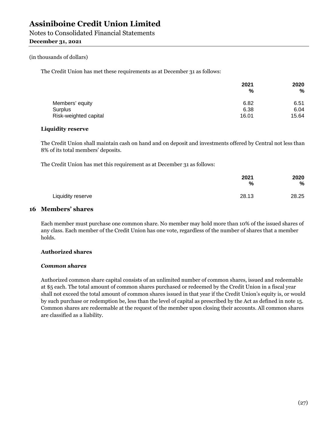### **December 31, 2021**

#### (in thousands of dollars)

The Credit Union has met these requirements as at December 31 as follows:

|                       | 2021  | 2020  |
|-----------------------|-------|-------|
|                       | %     | %     |
| Members' equity       | 6.82  | 6.51  |
| Surplus               | 6.38  | 6.04  |
| Risk-weighted capital | 16.01 | 15.64 |

#### **Liquidity reserve**

The Credit Union shall maintain cash on hand and on deposit and investments offered by Central not less than 8% of its total members' deposits.

The Credit Union has met this requirement as at December 31 as follows:

|                   | 2021<br>$\frac{0}{0}$ | 2020<br>% |
|-------------------|-----------------------|-----------|
| Liquidity reserve | 28.13                 | 28.25     |

#### **16 Members' shares**

Each member must purchase one common share. No member may hold more than 10% of the issued shares of any class. Each member of the Credit Union has one vote, regardless of the number of shares that a member holds.

#### **Authorized shares**

#### *Common shares*

Authorized common share capital consists of an unlimited number of common shares, issued and redeemable at \$5 each. The total amount of common shares purchased or redeemed by the Credit Union in a fiscal year shall not exceed the total amount of common shares issued in that year if the Credit Union's equity is, or would by such purchase or redemption be, less than the level of capital as prescribed by the Act as defined in note 15. Common shares are redeemable at the request of the member upon closing their accounts. All common shares are classified as a liability.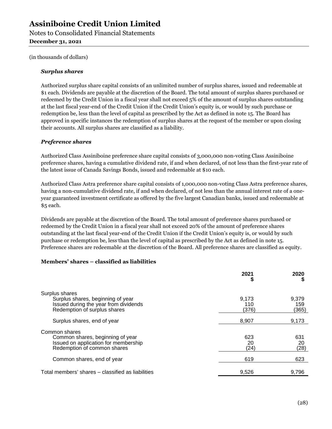Notes to Consolidated Financial Statements

### **December 31, 2021**

(in thousands of dollars)

#### *Surplus shares*

Authorized surplus share capital consists of an unlimited number of surplus shares, issued and redeemable at \$1 each. Dividends are payable at the discretion of the Board. The total amount of surplus shares purchased or redeemed by the Credit Union in a fiscal year shall not exceed 5% of the amount of surplus shares outstanding at the last fiscal year-end of the Credit Union if the Credit Union's equity is, or would by such purchase or redemption be, less than the level of capital as prescribed by the Act as defined in note 15. The Board has approved in specific instances the redemption of surplus shares at the request of the member or upon closing their accounts. All surplus shares are classified as a liability.

#### *Preference shares*

Authorized Class Assiniboine preference share capital consists of 3,000,000 non-voting Class Assiniboine preference shares, having a cumulative dividend rate, if and when declared, of not less than the first-year rate of the latest issue of Canada Savings Bonds, issued and redeemable at \$10 each.

Authorized Class Astra preference share capital consists of 1,000,000 non-voting Class Astra preference shares, having a non-cumulative dividend rate, if and when declared, of not less than the annual interest rate of a oneyear guaranteed investment certificate as offered by the five largest Canadian banks, issued and redeemable at \$5 each.

Dividends are payable at the discretion of the Board. The total amount of preference shares purchased or redeemed by the Credit Union in a fiscal year shall not exceed 20% of the amount of preference shares outstanding at the last fiscal year-end of the Credit Union if the Credit Union's equity is, or would by such purchase or redemption be, less-than the level of capital as prescribed by the Act as defined in note 15. Preference shares are redeemable at the discretion of the Board. All preference shares are classified as equity.

#### **Members' shares – classified as liabilities**

|                                                                                                                              | 2021<br>\$            | 2020                  |
|------------------------------------------------------------------------------------------------------------------------------|-----------------------|-----------------------|
| Surplus shares<br>Surplus shares, beginning of year<br>Issued during the year from dividends<br>Redemption of surplus shares | 9.173<br>110<br>(376) | 9.379<br>159<br>(365) |
| Surplus shares, end of year                                                                                                  | 8.907                 | 9,173                 |
| Common shares<br>Common shares, beginning of year<br>Issued on application for membership<br>Redemption of common shares     | 623<br>20<br>(24)     | 631<br>20<br>(28)     |
| Common shares, end of year                                                                                                   | 619                   | 623                   |
| Total members' shares – classified as liabilities                                                                            | 9,526                 | 9,796                 |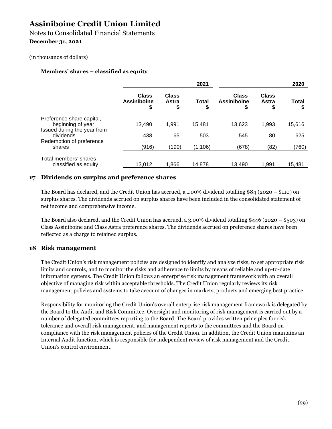Notes to Consolidated Financial Statements

### **December 31, 2021**

#### (in thousands of dollars)

#### **Members' shares – classified as equity**

|                                                                               |                                          |                             | 2021        |                                          |                             | 2020   |
|-------------------------------------------------------------------------------|------------------------------------------|-----------------------------|-------------|------------------------------------------|-----------------------------|--------|
|                                                                               | <b>Class</b><br><b>Assiniboine</b><br>\$ | <b>Class</b><br>Astra<br>\$ | Total<br>\$ | <b>Class</b><br><b>Assiniboine</b><br>\$ | <b>Class</b><br>Astra<br>\$ | Total  |
| Preference share capital,<br>beginning of year<br>Issued during the year from | 13,490                                   | 1,991                       | 15.481      | 13,623                                   | 1,993                       | 15,616 |
| dividends<br>Redemption of preference                                         | 438                                      | 65                          | 503         | 545                                      | 80                          | 625    |
| shares                                                                        | (916)                                    | (190)                       | (1, 106)    | (678)                                    | (82)                        | (760)  |
| Total members' shares -<br>classified as equity                               | 13,012                                   | 1,866                       | 14,878      | 13,490                                   | 1.991                       | 15,481 |

#### **17 Dividends on surplus and preference shares**

The Board has declared, and the Credit Union has accrued, a 1.00% dividend totalling \$84 (2020 – \$110) on surplus shares. The dividends accrued on surplus shares have been included in the consolidated statement of net income and comprehensive income.

The Board also declared, and the Credit Union has accrued, a 3.00% dividend totalling \$446 (2020 – \$503) on Class Assiniboine and Class Astra preference shares. The dividends accrued on preference shares have been reflected as a charge to retained surplus.

#### **18 Risk management**

The Credit Union's risk management policies are designed to identify and analyze risks, to set appropriate risk limits and controls, and to monitor the risks and adherence to limits by means of reliable and up-to-date information systems. The Credit Union follows an enterprise risk management framework with an overall objective of managing risk within acceptable thresholds. The Credit Union regularly reviews its risk management policies and systems to take account of changes in markets, products and emerging best practice.

Responsibility for monitoring the Credit Union's overall enterprise risk management framework is delegated by the Board to the Audit and Risk Committee. Oversight and monitoring of risk management is carried out by a number of delegated committees reporting to the Board. The Board provides written principles for risk tolerance and overall risk management, and management reports to the committees and the Board on compliance with the risk management policies of the Credit Union. In addition, the Credit Union maintains an Internal Audit function, which is responsible for independent review of risk management and the Credit Union's control environment.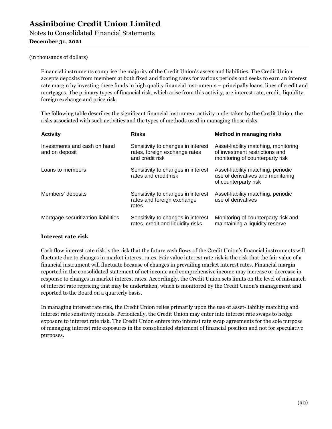#### **December 31, 2021**

(in thousands of dollars)

Financial instruments comprise the majority of the Credit Union's assets and liabilities. The Credit Union accepts deposits from members at both fixed and floating rates for various periods and seeks to earn an interest rate margin by investing these funds in high quality financial instruments – principally loans, lines of credit and mortgages. The primary types of financial risk, which arise from this activity, are interest rate, credit, liquidity, foreign exchange and price risk.

The following table describes the significant financial instrument activity undertaken by the Credit Union, the risks associated with such activities and the types of methods used in managing those risks.

| <b>Activity</b>                                | <b>Risks</b>                                                                           | <b>Method in managing risks</b>                                                                           |
|------------------------------------------------|----------------------------------------------------------------------------------------|-----------------------------------------------------------------------------------------------------------|
| Investments and cash on hand<br>and on deposit | Sensitivity to changes in interest<br>rates, foreign exchange rates<br>and credit risk | Asset-liability matching, monitoring<br>of investment restrictions and<br>monitoring of counterparty risk |
| Loans to members                               | Sensitivity to changes in interest<br>rates and credit risk                            | Asset-liability matching, periodic<br>use of derivatives and monitoring<br>of counterparty risk           |
| Members' deposits                              | Sensitivity to changes in interest<br>rates and foreign exchange<br>rates              | Asset-liability matching, periodic<br>use of derivatives                                                  |
| Mortgage securitization liabilities            | Sensitivity to changes in interest<br>rates, credit and liquidity risks                | Monitoring of counterparty risk and<br>maintaining a liquidity reserve                                    |

#### **Interest rate risk**

Cash flow interest rate risk is the risk that the future cash flows of the Credit Union's financial instruments will fluctuate due to changes in market interest rates. Fair value interest rate risk is the risk that the fair value of a financial instrument will fluctuate because of changes in prevailing market interest rates. Financial margin reported in the consolidated statement of net income and comprehensive income may increase or decrease in response to changes in market interest rates. Accordingly, the Credit Union sets limits on the level of mismatch of interest rate repricing that may be undertaken, which is monitored by the Credit Union's management and reported to the Board on a quarterly basis.

In managing interest rate risk, the Credit Union relies primarily upon the use of asset-liability matching and interest rate sensitivity models. Periodically, the Credit Union may enter into interest rate swaps to hedge exposure to interest rate risk. The Credit Union enters into interest rate swap agreements for the sole purpose of managing interest rate exposures in the consolidated statement of financial position and not for speculative purposes.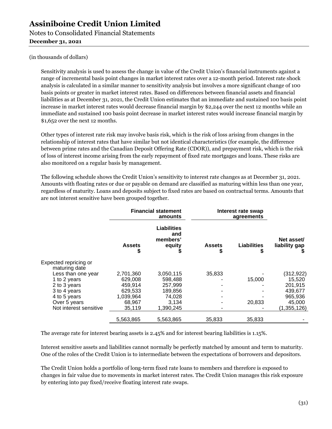Notes to Consolidated Financial Statements

### **December 31, 2021**

(in thousands of dollars)

Sensitivity analysis is used to assess the change in value of the Credit Union's financial instruments against a range of incremental basis point changes in market interest rates over a 12-month period. Interest rate shock analysis is calculated in a similar manner to sensitivity analysis but involves a more significant change of 100 basis points or greater in market interest rates. Based on differences between financial assets and financial liabilities as at December 31, 2021, the Credit Union estimates that an immediate and sustained 100 basis point increase in market interest rates would decrease financial margin by \$2,244 over the next 12 months while an immediate and sustained 100 basis point decrease in market interest rates would increase financial margin by \$1,652 over the next 12 months.

Other types of interest rate risk may involve basis risk, which is the risk of loss arising from changes in the relationship of interest rates that have similar but not identical characteristics (for example, the difference between prime rates and the Canadian Deposit Offering Rate (CDOR)), and prepayment risk, which is the risk of loss of interest income arising from the early repayment of fixed rate mortgages and loans. These risks are also monitored on a regular basis by management.

The following schedule shows the Credit Union's sensitivity to interest rate changes as at December 31, 2021. Amounts with floating rates or due or payable on demand are classified as maturing within less than one year, regardless of maturity. Loans and deposits subject to fixed rates are based on contractual terms. Amounts that are not interest sensitive have been grouped together.

|                                        | <b>Financial statement</b><br>amounts |                                                 | Interest rate swap<br>agreements |                         |                             |  |
|----------------------------------------|---------------------------------------|-------------------------------------------------|----------------------------------|-------------------------|-----------------------------|--|
|                                        | <b>Assets</b><br>S                    | <b>Liabilities</b><br>and<br>members'<br>equity | <b>Assets</b><br>\$              | <b>Liabilities</b><br>S | Net asset/<br>liability gap |  |
| Expected repricing or<br>maturing date |                                       |                                                 |                                  |                         |                             |  |
| Less than one year                     | 2,701,360                             | 3,050,115                                       | 35,833                           |                         | (312, 922)                  |  |
| 1 to 2 years                           | 629,008                               | 598,488                                         |                                  | 15,000                  | 15,520                      |  |
| 2 to 3 years                           | 459.914                               | 257,999                                         |                                  |                         | 201,915                     |  |
| 3 to 4 years                           | 629,533                               | 189,856                                         |                                  |                         | 439,677                     |  |
| 4 to 5 years                           | 1,039,964                             | 74,028                                          |                                  |                         | 965,936                     |  |
| Over 5 years                           | 68,967                                | 3,134                                           |                                  | 20,833                  | 45,000                      |  |
| Not interest sensitive                 | 35,119                                | 1,390,245                                       |                                  |                         | (1,355,126)                 |  |
|                                        | 5,563,865                             | 5,563,865                                       | 35,833                           | 35,833                  |                             |  |

The average rate for interest bearing assets is 2.45% and for interest bearing liabilities is 1.15%.

Interest sensitive assets and liabilities cannot normally be perfectly matched by amount and term to maturity. One of the roles of the Credit Union is to intermediate between the expectations of borrowers and depositors.

The Credit Union holds a portfolio of long-term fixed rate loans to members and therefore is exposed to changes in fair value due to movements in market interest rates. The Credit Union manages this risk exposure by entering into pay fixed/receive floating interest rate swaps.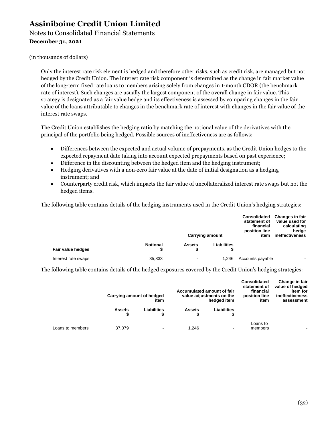Notes to Consolidated Financial Statements

### **December 31, 2021**

(in thousands of dollars)

Only the interest rate risk element is hedged and therefore other risks, such as credit risk, are managed but not hedged by the Credit Union. The interest rate risk component is determined as the change in fair market value of the long-term fixed rate loans to members arising solely from changes in 1-month CDOR (the benchmark rate of interest). Such changes are usually the largest component of the overall change in fair value. This strategy is designated as a fair value hedge and its effectiveness is assessed by comparing changes in the fair value of the loans attributable to changes in the benchmark rate of interest with changes in the fair value of the interest rate swaps.

The Credit Union establishes the hedging ratio by matching the notional value of the derivatives with the principal of the portfolio being hedged. Possible sources of ineffectiveness are as follows:

- Differences between the expected and actual volume of prepayments, as the Credit Union hedges to the expected repayment date taking into account expected prepayments based on past experience;
- Difference in the discounting between the hedged item and the hedging instrument;
- Hedging derivatives with a non-zero fair value at the date of initial designation as a hedging instrument; and
- Counterparty credit risk, which impacts the fair value of uncollateralized interest rate swaps but not the hedged items.

The following table contains details of the hedging instruments used in the Credit Union's hedging strategies:

|                     |                 | <b>Carrying amount</b> |                    | <b>Consolidated</b><br>statement of<br>financial<br>position line<br>item | Changes in fair<br>value used for<br>calculating<br>hedge<br>ineffectiveness |
|---------------------|-----------------|------------------------|--------------------|---------------------------------------------------------------------------|------------------------------------------------------------------------------|
| Fair value hedges   | <b>Notional</b> | <b>Assets</b><br>S     | <b>Liabilities</b> |                                                                           |                                                                              |
| Interest rate swaps | 35,833          | $\,$                   | 1,246              | Accounts payable                                                          | -                                                                            |

The following table contains details of the hedged exposures covered by the Credit Union's hedging strategies:

|                  | Carrying amount of hedged<br>item |                          |               | Accumulated amount of fair<br>value adjustments on the<br>hedged item |                     | Change in fair<br>value of hedged<br>item for<br>ineffectiveness<br>assessment |
|------------------|-----------------------------------|--------------------------|---------------|-----------------------------------------------------------------------|---------------------|--------------------------------------------------------------------------------|
|                  | <b>Assets</b>                     | Liabilities<br>J         | <b>Assets</b> | Liabilities                                                           |                     |                                                                                |
| Loans to members | 37,079                            | $\overline{\phantom{a}}$ | 1.246         | -                                                                     | Loans to<br>members |                                                                                |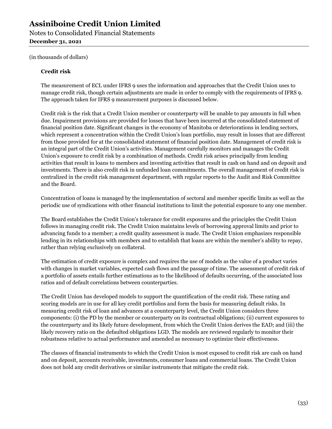Notes to Consolidated Financial Statements

### **December 31, 2021**

(in thousands of dollars)

#### **Credit risk**

The measurement of ECL under IFRS 9 uses the information and approaches that the Credit Union uses to manage credit risk, though certain adjustments are made in order to comply with the requirements of IFRS 9. The approach taken for IFRS 9 measurement purposes is discussed below.

Credit risk is the risk that a Credit Union member or counterparty will be unable to pay amounts in full when due. Impairment provisions are provided for losses that have been incurred at the consolidated statement of financial position date. Significant changes in the economy of Manitoba or deteriorations in lending sectors, which represent a concentration within the Credit Union's loan portfolio, may result in losses that are different from those provided for at the consolidated statement of financial position date. Management of credit risk is an integral part of the Credit Union's activities. Management carefully monitors and manages the Credit Union's exposure to credit risk by a combination of methods. Credit risk arises principally from lending activities that result in loans to members and investing activities that result in cash on hand and on deposit and investments. There is also credit risk in unfunded loan commitments. The overall management of credit risk is centralized in the credit risk management department, with regular reports to the Audit and Risk Committee and the Board.

Concentration of loans is managed by the implementation of sectoral and member specific limits as well as the periodic use of syndications with other financial institutions to limit the potential exposure to any one member.

The Board establishes the Credit Union's tolerance for credit exposures and the principles the Credit Union follows in managing credit risk. The Credit Union maintains levels of borrowing approval limits and prior to advancing funds to a member; a credit quality assessment is made. The Credit Union emphasizes responsible lending in its relationships with members and to establish that loans are within the member's ability to repay, rather than relying exclusively on collateral.

The estimation of credit exposure is complex and requires the use of models as the value of a product varies with changes in market variables, expected cash flows and the passage of time. The assessment of credit risk of a portfolio of assets entails further estimations as to the likelihood of defaults occurring, of the associated loss ratios and of default correlations between counterparties.

The Credit Union has developed models to support the quantification of the credit risk. These rating and scoring models are in use for all key credit portfolios and form the basis for measuring default risks. In measuring credit risk of loan and advances at a counterparty level, the Credit Union considers three components: (i) the PD by the member or counterparty on its contractual obligations; (ii) current exposures to the counterparty and its likely future development, from which the Credit Union derives the EAD; and (iii) the likely recovery ratio on the defaulted obligations LGD. The models are reviewed regularly to monitor their robustness relative to actual performance and amended as necessary to optimize their effectiveness.

The classes of financial instruments to which the Credit Union is most exposed to credit risk are cash on hand and on deposit, accounts receivable, investments, consumer loans and commercial loans. The Credit Union does not hold any credit derivatives or similar instruments that mitigate the credit risk.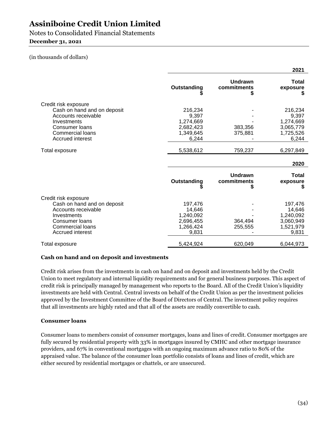Notes to Consolidated Financial Statements

## **December 31, 2021**

#### (in thousands of dollars)

|                             |                  |                              | 2021                          |
|-----------------------------|------------------|------------------------------|-------------------------------|
|                             | Outstanding      | Undrawn<br>commitments       | Total<br>exposure             |
| Credit risk exposure        |                  |                              |                               |
| Cash on hand and on deposit | 216,234          |                              | 216,234                       |
| Accounts receivable         | 9,397            |                              | 9,397                         |
| Investments                 | 1,274,669        |                              | 1,274,669                     |
| Consumer loans              | 2,682,423        | 383,356                      | 3,065,779                     |
| Commercial loans            | 1,349,645        | 375,881                      | 1,725,526                     |
| Accrued interest            | 6,244            |                              | 6,244                         |
| Total exposure              | 5,538,612        | 759,237                      | 6,297,849                     |
|                             |                  |                              | 2020                          |
|                             | Outstanding<br>S | Undrawn<br>commitments<br>\$ | <b>Total</b><br>exposure<br>5 |
| Credit risk exposure        |                  |                              |                               |
| Cash on hand and on deposit | 197,476          |                              | 197,476                       |
| Accounts receivable         | 14,646           |                              | 14,646                        |
|                             |                  |                              |                               |
| Investments                 | 1,240,092        |                              | 1,240,092                     |
| Consumer loans              | 2,696,455        | 364.494                      | 3,060,949                     |
| Commercial loans            | 1,266,424        | 255,555                      | 1,521,979                     |
| Accrued interest            | 9,831            |                              | 9,831                         |

#### **Cash on hand and on deposit and investments**

Credit risk arises from the investments in cash on hand and on deposit and investments held by the Credit Union to meet regulatory and internal liquidity requirements and for general business purposes. This aspect of credit risk is principally managed by management who reports to the Board. All of the Credit Union's liquidity investments are held with Central. Central invests on behalf of the Credit Union as per the investment policies approved by the Investment Committee of the Board of Directors of Central. The investment policy requires that all investments are highly rated and that all of the assets are readily convertible to cash.

#### **Consumer loans**

Consumer loans to members consist of consumer mortgages, loans and lines of credit. Consumer mortgages are fully secured by residential property with 33% in mortgages insured by CMHC and other mortgage insurance providers, and 67% in conventional mortgages with an ongoing maximum advance ratio to 80% of the appraised value. The balance of the consumer loan portfolio consists of loans and lines of credit, which are either secured by residential mortgages or chattels, or are unsecured.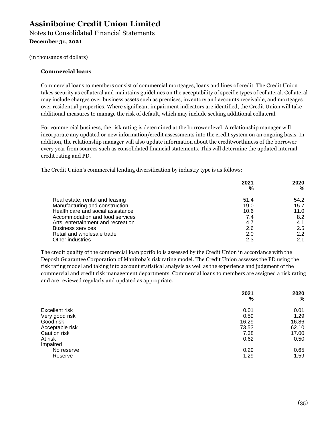Notes to Consolidated Financial Statements

**December 31, 2021** 

(in thousands of dollars)

#### **Commercial loans**

Commercial loans to members consist of commercial mortgages, loans and lines of credit. The Credit Union takes security as collateral and maintains guidelines on the acceptability of specific types of collateral. Collateral may include charges over business assets such as premises, inventory and accounts receivable, and mortgages over residential properties. Where significant impairment indicators are identified, the Credit Union will take additional measures to manage the risk of default, which may include seeking additional collateral.

For commercial business, the risk rating is determined at the borrower level. A relationship manager will incorporate any updated or new information/credit assessments into the credit system on an ongoing basis. In addition, the relationship manager will also update information about the creditworthiness of the borrower every year from sources such as consolidated financial statements. This will determine the updated internal credit rating and PD.

The Credit Union's commercial lending diversification by industry type is as follows:

|                                    | 2021<br>% | 2020<br>% |
|------------------------------------|-----------|-----------|
|                                    |           |           |
| Real estate, rental and leasing    | 51.4      | 54.2      |
| Manufacturing and construction     | 19.0      | 15.7      |
| Health care and social assistance  | 10.6      | 11.0      |
| Accommodation and food services    | 7.4       | 8.2       |
| Arts, entertainment and recreation | 4.7       | 4.1       |
| <b>Business services</b>           | 2.6       | 2.5       |
| Retail and wholesale trade         | 2.0       | 2.2       |
| Other industries                   | 2.3       | 2.1       |

The credit quality of the commercial loan portfolio is assessed by the Credit Union in accordance with the Deposit Guarantee Corporation of Manitoba's risk rating model. The Credit Union assesses the PD using the risk rating model and taking into account statistical analysis as well as the experience and judgment of the commercial and credit risk management departments. Commercial loans to members are assigned a risk rating and are reviewed regularly and updated as appropriate.

|                       | 2021  | 2020  |
|-----------------------|-------|-------|
|                       | %     | %     |
| <b>Excellent risk</b> | 0.01  | 0.01  |
| Very good risk        | 0.59  | 1.29  |
| Good risk             | 16.29 | 16.86 |
| Acceptable risk       | 73.53 | 62.10 |
| Caution risk          | 7.38  | 17.00 |
| At risk<br>Impaired   | 0.62  | 0.50  |
| No reserve            | 0.29  | 0.65  |
| Reserve               | 1.29  | 1.59  |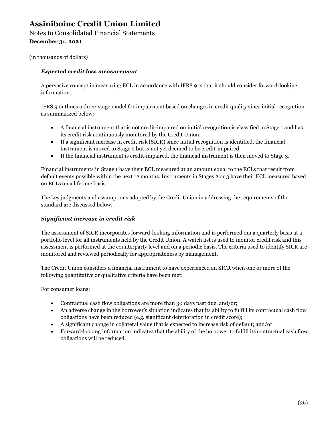Notes to Consolidated Financial Statements

### **December 31, 2021**

(in thousands of dollars)

#### *Expected credit loss measurement*

A pervasive concept in measuring ECL in accordance with IFRS 9 is that it should consider forward-looking information.

IFRS 9 outlines a three-stage model for impairment based on changes in credit quality since initial recognition as summarized below:

- A financial instrument that is not credit-impaired on initial recognition is classified in Stage 1 and has its credit risk continuously monitored by the Credit Union.
- If a significant increase in credit risk (SICR) since initial recognition is identified, the financial instrument is moved to Stage 2 but is not yet deemed to be credit-impaired.
- If the financial instrument is credit-impaired, the financial instrument is then moved to Stage 3.

Financial instruments in Stage 1 have their ECL measured at an amount equal to the ECLs that result from default events possible within the next 12 months. Instruments in Stages 2 or 3 have their ECL measured based on ECLs on a lifetime basis.

The key judgments and assumptions adopted by the Credit Union in addressing the requirements of the standard are discussed below.

#### *Significant increase in credit risk*

The assessment of SICR incorporates forward-looking information and is performed om a quarterly basis at a portfolio level for all instruments held by the Credit Union. A watch list is used to monitor credit risk and this assessment is performed at the counterparty level and on a periodic basis. The criteria used to identify SICR are monitored and reviewed periodically for appropriateness by management.

The Credit Union considers a financial instrument to have experienced an SICR when one or more of the following quantitative or qualitative criteria have been met:

For consumer loans:

- Contractual cash flow obligations are more than 30 days past due, and/or;
- An adverse change in the borrower's situation indicates that its ability to fulfill its contractual cash flow obligations have been reduced (e.g. significant deterioration in credit score);
- A significant change in collateral value that is expected to increase risk of default; and/or
- Forward-looking information indicates that the ability of the borrower to fulfill its contractual cash flow obligations will be reduced.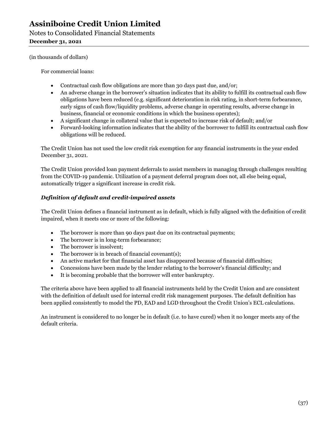Notes to Consolidated Financial Statements

### **December 31, 2021**

(in thousands of dollars)

For commercial loans:

- Contractual cash flow obligations are more than 30 days past due, and/or;
- An adverse change in the borrower's situation indicates that its ability to fulfill its contractual cash flow obligations have been reduced (e.g. significant deterioration in risk rating, in short-term forbearance, early signs of cash flow/liquidity problems, adverse change in operating results, adverse change in business, financial or economic conditions in which the business operates);
- A significant change in collateral value that is expected to increase risk of default; and/or
- Forward-looking information indicates that the ability of the borrower to fulfill its contractual cash flow obligations will be reduced.

The Credit Union has not used the low credit risk exemption for any financial instruments in the year ended December 31, 2021.

The Credit Union provided loan payment deferrals to assist members in managing through challenges resulting from the COVID-19 pandemic. Utilization of a payment deferral program does not, all else being equal, automatically trigger a significant increase in credit risk.

### *Definition of default and credit-impaired assets*

The Credit Union defines a financial instrument as in default, which is fully aligned with the definition of credit impaired, when it meets one or more of the following:

- The borrower is more than 90 days past due on its contractual payments;
- The borrower is in long-term forbearance;
- The borrower is insolvent;
- The borrower is in breach of financial covenant(s);
- An active market for that financial asset has disappeared because of financial difficulties;
- Concessions have been made by the lender relating to the borrower's financial difficulty; and
- It is becoming probable that the borrower will enter bankruptcy.

The criteria above have been applied to all financial instruments held by the Credit Union and are consistent with the definition of default used for internal credit risk management purposes. The default definition has been applied consistently to model the PD, EAD and LGD throughout the Credit Union's ECL calculations.

An instrument is considered to no longer be in default (i.e. to have cured) when it no longer meets any of the default criteria.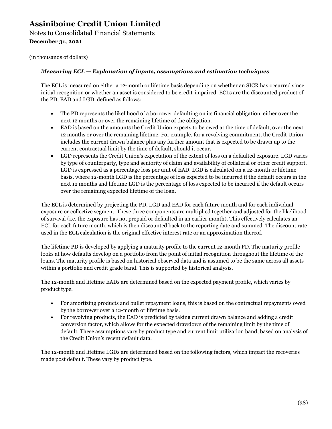### **December 31, 2021**

(in thousands of dollars)

### *Measuring ECL — Explanation of inputs, assumptions and estimation techniques*

The ECL is measured on either a 12-month or lifetime basis depending on whether an SICR has occurred since initial recognition or whether an asset is considered to be credit-impaired. ECLs are the discounted product of the PD, EAD and LGD, defined as follows:

- The PD represents the likelihood of a borrower defaulting on its financial obligation, either over the next 12 months or over the remaining lifetime of the obligation.
- EAD is based on the amounts the Credit Union expects to be owed at the time of default, over the next 12 months or over the remaining lifetime. For example, for a revolving commitment, the Credit Union includes the current drawn balance plus any further amount that is expected to be drawn up to the current contractual limit by the time of default, should it occur.
- LGD represents the Credit Union's expectation of the extent of loss on a defaulted exposure. LGD varies by type of counterparty, type and seniority of claim and availability of collateral or other credit support. LGD is expressed as a percentage loss per unit of EAD. LGD is calculated on a 12-month or lifetime basis, where 12-month LGD is the percentage of loss expected to be incurred if the default occurs in the next 12 months and lifetime LGD is the percentage of loss expected to be incurred if the default occurs over the remaining expected lifetime of the loan.

The ECL is determined by projecting the PD, LGD and EAD for each future month and for each individual exposure or collective segment. These three components are multiplied together and adjusted for the likelihood of survival (i.e. the exposure has not prepaid or defaulted in an earlier month). This effectively calculates an ECL for each future month, which is then discounted back to the reporting date and summed. The discount rate used in the ECL calculation is the original effective interest rate or an approximation thereof.

The lifetime PD is developed by applying a maturity profile to the current 12-month PD. The maturity profile looks at how defaults develop on a portfolio from the point of initial recognition throughout the lifetime of the loans. The maturity profile is based on historical observed data and is assumed to be the same across all assets within a portfolio and credit grade band. This is supported by historical analysis.

The 12-month and lifetime EADs are determined based on the expected payment profile, which varies by product type.

- For amortizing products and bullet repayment loans, this is based on the contractual repayments owed by the borrower over a 12-month or lifetime basis.
- For revolving products, the EAD is predicted by taking current drawn balance and adding a credit conversion factor, which allows for the expected drawdown of the remaining limit by the time of default. These assumptions vary by product type and current limit utilization band, based on analysis of the Credit Union's recent default data.

The 12-month and lifetime LGDs are determined based on the following factors, which impact the recoveries made post default. These vary by product type.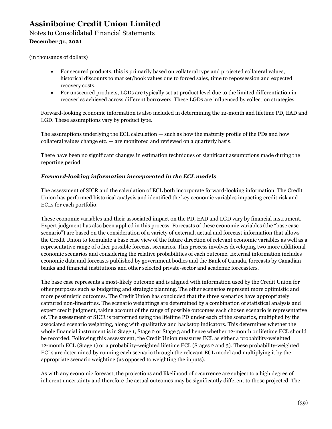### **December 31, 2021**

(in thousands of dollars)

- For secured products, this is primarily based on collateral type and projected collateral values, historical discounts to market/book values due to forced sales, time to repossession and expected recovery costs.
- For unsecured products, LGDs are typically set at product level due to the limited differentiation in recoveries achieved across different borrowers. These LGDs are influenced by collection strategies.

Forward-looking economic information is also included in determining the 12-month and lifetime PD, EAD and LGD. These assumptions vary by product type.

The assumptions underlying the ECL calculation — such as how the maturity profile of the PDs and how collateral values change etc. — are monitored and reviewed on a quarterly basis.

There have been no significant changes in estimation techniques or significant assumptions made during the reporting period.

#### *Forward-looking information incorporated in the ECL models*

The assessment of SICR and the calculation of ECL both incorporate forward-looking information. The Credit Union has performed historical analysis and identified the key economic variables impacting credit risk and ECLs for each portfolio.

These economic variables and their associated impact on the PD, EAD and LGD vary by financial instrument. Expert judgment has also been applied in this process. Forecasts of these economic variables (the "base case scenario") are based on the consideration of a variety of external, actual and forecast information that allows the Credit Union to formulate a base case view of the future direction of relevant economic variables as well as a representative range of other possible forecast scenarios. This process involves developing two more additional economic scenarios and considering the relative probabilities of each outcome. External information includes economic data and forecasts published by government bodies and the Bank of Canada, forecasts by Canadian banks and financial institutions and other selected private-sector and academic forecasters.

The base case represents a most-likely outcome and is aligned with information used by the Credit Union for other purposes such as budgeting and strategic planning. The other scenarios represent more optimistic and more pessimistic outcomes. The Credit Union has concluded that the three scenarios have appropriately captured non-linearities. The scenario weightings are determined by a combination of statistical analysis and expert credit judgment, taking account of the range of possible outcomes each chosen scenario is representative of. The assessment of SICR is performed using the lifetime PD under each of the scenarios, multiplied by the associated scenario weighting, along with qualitative and backstop indicators. This determines whether the whole financial instrument is in Stage 1, Stage 2 or Stage 3 and hence whether 12-month or lifetime ECL should be recorded. Following this assessment, the Credit Union measures ECL as either a probability-weighted 12-month ECL (Stage 1) or a probability-weighted lifetime ECL (Stages 2 and 3). These probability-weighted ECLs are determined by running each scenario through the relevant ECL model and multiplying it by the appropriate scenario weighting (as opposed to weighting the inputs).

As with any economic forecast, the projections and likelihood of occurrence are subject to a high degree of inherent uncertainty and therefore the actual outcomes may be significantly different to those projected. The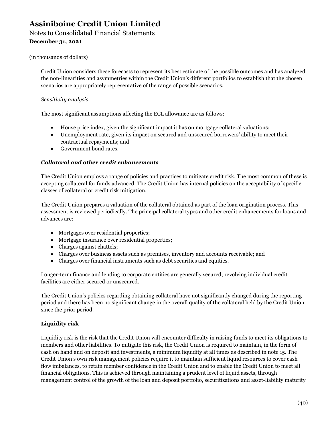#### **December 31, 2021**

#### (in thousands of dollars)

Credit Union considers these forecasts to represent its best estimate of the possible outcomes and has analyzed the non-linearities and asymmetries within the Credit Union's different portfolios to establish that the chosen scenarios are appropriately representative of the range of possible scenarios.

#### *Sensitivity analysis*

The most significant assumptions affecting the ECL allowance are as follows:

- House price index, given the significant impact it has on mortgage collateral valuations;
- Unemployment rate, given its impact on secured and unsecured borrowers' ability to meet their contractual repayments; and
- Government bond rates.

#### *Collateral and other credit enhancements*

The Credit Union employs a range of policies and practices to mitigate credit risk. The most common of these is accepting collateral for funds advanced. The Credit Union has internal policies on the acceptability of specific classes of collateral or credit risk mitigation.

The Credit Union prepares a valuation of the collateral obtained as part of the loan origination process. This assessment is reviewed periodically. The principal collateral types and other credit enhancements for loans and advances are:

- Mortgages over residential properties;
- Mortgage insurance over residential properties;
- Charges against chattels;
- Charges over business assets such as premises, inventory and accounts receivable; and
- Charges over financial instruments such as debt securities and equities.

Longer-term finance and lending to corporate entities are generally secured; revolving individual credit facilities are either secured or unsecured.

The Credit Union's policies regarding obtaining collateral have not significantly changed during the reporting period and there has been no significant change in the overall quality of the collateral held by the Credit Union since the prior period.

#### **Liquidity risk**

Liquidity risk is the risk that the Credit Union will encounter difficulty in raising funds to meet its obligations to members and other liabilities. To mitigate this risk, the Credit Union is required to maintain, in the form of cash on hand and on deposit and investments, a minimum liquidity at all times as described in note 15. The Credit Union's own risk management policies require it to maintain sufficient liquid resources to cover cash flow imbalances, to retain member confidence in the Credit Union and to enable the Credit Union to meet all financial obligations. This is achieved through maintaining a prudent level of liquid assets, through management control of the growth of the loan and deposit portfolio, securitizations and asset-liability maturity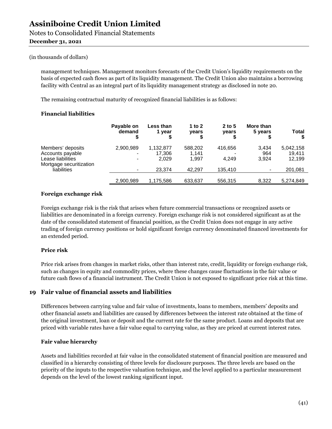### **December 31, 2021**

#### (in thousands of dollars)

management techniques. Management monitors forecasts of the Credit Union's liquidity requirements on the basis of expected cash flows as part of its liquidity management. The Credit Union also maintains a borrowing facility with Central as an integral part of its liquidity management strategy as disclosed in note 20.

The remaining contractual maturity of recognized financial liabilities is as follows:

#### **Financial liabilities**

|                                                             | Payable on<br>demand | Less than<br>1 year | 1 to $2$<br>years | $2$ to 5<br>years | More than<br>5 years | Total               |
|-------------------------------------------------------------|----------------------|---------------------|-------------------|-------------------|----------------------|---------------------|
| Members' deposits<br>Accounts payable                       | 2,900,989            | 1,132,877<br>17.306 | 588,202<br>1.141  | 416,656           | 3,434<br>964         | 5,042,158<br>19.411 |
| Lease liabilities<br>Mortgage securitization<br>liabilities |                      | 2,029<br>23.374     | 1.997<br>42.297   | 4.249<br>135,410  | 3.924<br>-           | 12.199<br>201,081   |
|                                                             | 2,900,989            | 1,175,586           | 633,637           | 556,315           | 8,322                | 5,274,849           |

#### **Foreign exchange risk**

Foreign exchange risk is the risk that arises when future commercial transactions or recognized assets or liabilities are denominated in a foreign currency. Foreign exchange risk is not considered significant as at the date of the consolidated statement of financial position, as the Credit Union does not engage in any active trading of foreign currency positions or hold significant foreign currency denominated financed investments for an extended period.

#### **Price risk**

Price risk arises from changes in market risks, other than interest rate, credit, liquidity or foreign exchange risk, such as changes in equity and commodity prices, where these changes cause fluctuations in the fair value or future cash flows of a financial instrument. The Credit Union is not exposed to significant price risk at this time.

#### **19 Fair value of financial assets and liabilities**

Differences between carrying value and fair value of investments, loans to members, members' deposits and other financial assets and liabilities are caused by differences between the interest rate obtained at the time of the original investment, loan or deposit and the current rate for the same product. Loans and deposits that are priced with variable rates have a fair value equal to carrying value, as they are priced at current interest rates.

#### **Fair value hierarchy**

Assets and liabilities recorded at fair value in the consolidated statement of financial position are measured and classified in a hierarchy consisting of three levels for disclosure purposes. The three levels are based on the priority of the inputs to the respective valuation technique, and the level applied to a particular measurement depends on the level of the lowest ranking significant input.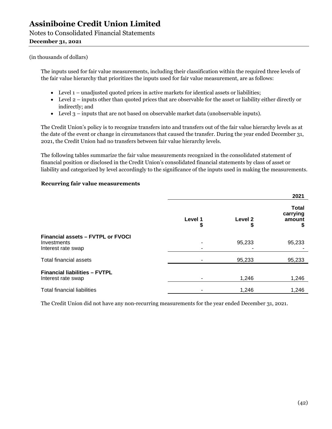#### **December 31, 2021**

#### (in thousands of dollars)

The inputs used for fair value measurements, including their classification within the required three levels of the fair value hierarchy that prioritizes the inputs used for fair value measurement, are as follows:

- Level 1 unadjusted quoted prices in active markets for identical assets or liabilities;
- Level 2 inputs other than quoted prices that are observable for the asset or liability either directly or indirectly; and
- $\bullet$  Level 3 inputs that are not based on observable market data (unobservable inputs).

The Credit Union's policy is to recognize transfers into and transfers out of the fair value hierarchy levels as at the date of the event or change in circumstances that caused the transfer. During the year ended December 31, 2021, the Credit Union had no transfers between fair value hierarchy levels.

The following tables summarize the fair value measurements recognized in the consolidated statement of financial position or disclosed in the Credit Union's consolidated financial statements by class of asset or liability and categorized by level accordingly to the significance of the inputs used in making the measurements.

#### **Recurring fair value measurements**

|                                                                        |               |               | 2021                                    |
|------------------------------------------------------------------------|---------------|---------------|-----------------------------------------|
|                                                                        | Level 1<br>\$ | Level 2<br>\$ | <b>Total</b><br>carrying<br>amount<br>S |
| Financial assets - FVTPL or FVOCI<br>Investments<br>Interest rate swap |               | 95,233        | 95,233                                  |
| Total financial assets                                                 |               | 95,233        | 95,233                                  |
| <b>Financial liabilities - FVTPL</b><br>Interest rate swap             |               | 1,246         | 1,246                                   |
| <b>Total financial liabilities</b>                                     |               | 1,246         | 1,246                                   |

The Credit Union did not have any non-recurring measurements for the year ended December 31, 2021.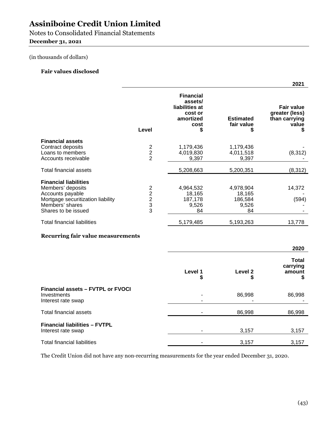Notes to Consolidated Financial Statements

# **December 31, 2021**

### (in thousands of dollars)

### **Fair values disclosed**

|                                    |               |                                                                                    |                                     | 2021                                                               |
|------------------------------------|---------------|------------------------------------------------------------------------------------|-------------------------------------|--------------------------------------------------------------------|
|                                    | Level         | <b>Financial</b><br>assets/<br>liabilities at<br>cost or<br>amortized<br>cost<br>S | <b>Estimated</b><br>fair value<br>5 | <b>Fair value</b><br>greater (less)<br>than carrying<br>value<br>S |
| <b>Financial assets</b>            |               |                                                                                    |                                     |                                                                    |
| Contract deposits                  |               | 1,179,436                                                                          | 1,179,436                           |                                                                    |
| Loans to members                   | $\frac{2}{2}$ | 4,019,830                                                                          | 4,011,518                           | (8, 312)                                                           |
| Accounts receivable                |               | 9,397                                                                              | 9,397                               |                                                                    |
| <b>Total financial assets</b>      |               | 5,208,663                                                                          | 5,200,351                           | (8,312)                                                            |
| <b>Financial liabilities</b>       |               |                                                                                    |                                     |                                                                    |
| Members' deposits                  |               | 4,964,532                                                                          | 4,978,904                           | 14,372                                                             |
| Accounts payable                   |               | 18,165                                                                             | 18,165                              |                                                                    |
| Mortgage securitization liability  | $2223$<br>3   | 187,178                                                                            | 186,584                             | (594)                                                              |
| Members' shares                    |               | 9,526                                                                              | 9,526                               |                                                                    |
| Shares to be issued                |               | 84                                                                                 | 84                                  |                                                                    |
| <b>Total financial liabilities</b> |               | 5,179,485                                                                          | 5,193,263                           | 13,778                                                             |
| Recurring fair value measurements  |               |                                                                                    |                                     |                                                                    |

|                                                                        |               |                         | 2020                                    |
|------------------------------------------------------------------------|---------------|-------------------------|-----------------------------------------|
|                                                                        | Level 1<br>\$ | Level <sub>2</sub><br>S | <b>Total</b><br>carrying<br>amount<br>5 |
| Financial assets - FVTPL or FVOCI<br>Investments<br>Interest rate swap |               | 86,998                  | 86,998                                  |
| <b>Total financial assets</b>                                          |               | 86,998                  | 86,998                                  |
| <b>Financial liabilities - FVTPL</b><br>Interest rate swap             |               | 3,157                   | 3,157                                   |
| <b>Total financial liabilities</b>                                     |               | 3,157                   | 3,157                                   |

The Credit Union did not have any non-recurring measurements for the year ended December 31, 2020.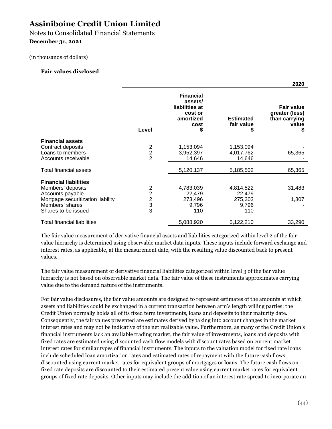Notes to Consolidated Financial Statements

# **December 31, 2021**

#### (in thousands of dollars)

#### **Fair values disclosed**

|                                   |                  |                                                                                    |                                     | ZUZU                                                               |
|-----------------------------------|------------------|------------------------------------------------------------------------------------|-------------------------------------|--------------------------------------------------------------------|
|                                   | Level            | <b>Financial</b><br>assets/<br>liabilities at<br>cost or<br>amortized<br>cost<br>S | <b>Estimated</b><br>fair value<br>S | <b>Fair value</b><br>greater (less)<br>than carrying<br>value<br>S |
| <b>Financial assets</b>           |                  |                                                                                    |                                     |                                                                    |
| Contract deposits                 | 2                | 1,153,094                                                                          | 1,153,094                           |                                                                    |
| Loans to members                  | $\overline{2}$   | 3,952,397                                                                          | 4,017,762                           | 65,365                                                             |
| Accounts receivable               | $\overline{2}$   | 14,646                                                                             | 14,646                              |                                                                    |
| <b>Total financial assets</b>     |                  | 5,120,137                                                                          | 5,185,502                           | 65,365                                                             |
| <b>Financial liabilities</b>      |                  |                                                                                    |                                     |                                                                    |
| Members' deposits                 |                  | 4,783,039                                                                          | 4,814,522                           | 31,483                                                             |
| Accounts payable                  |                  | 22,479                                                                             | 22,479                              |                                                                    |
| Mortgage securitization liability | $2223$<br>3<br>3 | 273,496                                                                            | 275,303                             | 1,807                                                              |
| Members' shares                   |                  | 9,796                                                                              | 9,796                               |                                                                    |
| Shares to be issued               |                  | 110                                                                                | 110                                 |                                                                    |
| Total financial liabilities       |                  | 5,088,920                                                                          | 5,122,210                           | 33,290                                                             |

The fair value measurement of derivative financial assets and liabilities categorized within level 2 of the fair value hierarchy is determined using observable market data inputs. These inputs include forward exchange and interest rates, as applicable, at the measurement date, with the resulting value discounted back to present values.

The fair value measurement of derivative financial liabilities categorized within level 3 of the fair value hierarchy is not based on observable market data. The fair value of these instruments approximates carrying value due to the demand nature of the instruments.

For fair value disclosures, the fair value amounts are designed to represent estimates of the amounts at which assets and liabilities could be exchanged in a current transaction between arm's length willing parties; the Credit Union normally holds all of its fixed term investments, loans and deposits to their maturity date. Consequently, the fair values presented are estimates derived by taking into account changes in the market interest rates and may not be indicative of the net realizable value. Furthermore, as many of the Credit Union's financial instruments lack an available trading market, the fair value of investments, loans and deposits with fixed rates are estimated using discounted cash flow models with discount rates based on current market interest rates for similar types of financial instruments. The inputs to the valuation model for fixed rate loans include scheduled loan amortization rates and estimated rates of repayment with the future cash flows discounted using current market rates for equivalent groups of mortgages or loans. The future cash flows on fixed rate deposits are discounted to their estimated present value using current market rates for equivalent groups of fixed rate deposits. Other inputs may include the addition of an interest rate spread to incorporate an

**2020**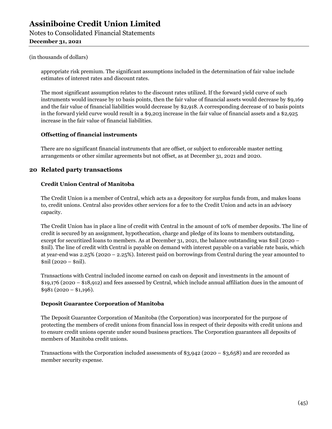Notes to Consolidated Financial Statements

### **December 31, 2021**

#### (in thousands of dollars)

appropriate risk premium. The significant assumptions included in the determination of fair value include estimates of interest rates and discount rates.

The most significant assumption relates to the discount rates utilized. If the forward yield curve of such instruments would increase by 10 basis points, then the fair value of financial assets would decrease by \$9,169 and the fair value of financial liabilities would decrease by \$2,918. A corresponding decrease of 10 basis points in the forward yield curve would result in a \$9,203 increase in the fair value of financial assets and a \$2,925 increase in the fair value of financial liabilities.

#### **Offsetting of financial instruments**

There are no significant financial instruments that are offset, or subject to enforceable master netting arrangements or other similar agreements but not offset, as at December 31, 2021 and 2020.

#### **20 Related party transactions**

#### **Credit Union Central of Manitoba**

The Credit Union is a member of Central, which acts as a depository for surplus funds from, and makes loans to, credit unions. Central also provides other services for a fee to the Credit Union and acts in an advisory capacity.

The Credit Union has in place a line of credit with Central in the amount of 10% of member deposits. The line of credit is secured by an assignment, hypothecation, charge and pledge of its loans to members outstanding, except for securitized loans to members. As at December 31, 2021, the balance outstanding was \$nil (2020 – \$nil). The line of credit with Central is payable on demand with interest payable on a variable rate basis, which at year-end was 2.25% (2020 – 2.25%). Interest paid on borrowings from Central during the year amounted to  $$nil (2020 - $nil).$ 

Transactions with Central included income earned on cash on deposit and investments in the amount of \$19,176 (2020 – \$18,912) and fees assessed by Central, which include annual affiliation dues in the amount of  $$981 (2020 - $1,196).$ 

#### **Deposit Guarantee Corporation of Manitoba**

The Deposit Guarantee Corporation of Manitoba (the Corporation) was incorporated for the purpose of protecting the members of credit unions from financial loss in respect of their deposits with credit unions and to ensure credit unions operate under sound business practices. The Corporation guarantees all deposits of members of Manitoba credit unions.

Transactions with the Corporation included assessments of \$3,942 (2020 – \$3,658) and are recorded as member security expense.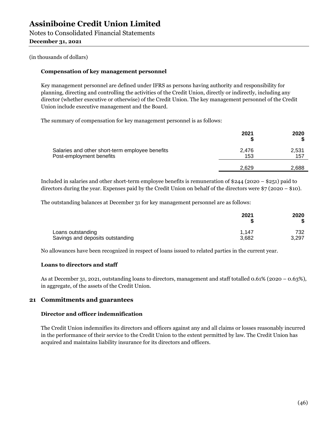**December 31, 2021** 

(in thousands of dollars)

#### **Compensation of key management personnel**

Key management personnel are defined under IFRS as persons having authority and responsibility for planning, directing and controlling the activities of the Credit Union, directly or indirectly, including any director (whether executive or otherwise) of the Credit Union. The key management personnel of the Credit Union include executive management and the Board.

The summary of compensation for key management personnel is as follows:

|                                                                             | 2021         | 2020         |
|-----------------------------------------------------------------------------|--------------|--------------|
| Salaries and other short-term employee benefits<br>Post-employment benefits | 2.476<br>153 | 2,531<br>157 |
|                                                                             | 2.629        | 2,688        |

Included in salaries and other short-term employee benefits is remuneration of  $$244$  (2020 –  $$251$ ) paid to directors during the year. Expenses paid by the Credit Union on behalf of the directors were \$7 (2020 – \$10).

The outstanding balances at December 31 for key management personnel are as follows:

|                                  | 2021  | 2020  |
|----------------------------------|-------|-------|
| Loans outstanding                | 1.147 | 732   |
| Savings and deposits outstanding | 3.682 | 3,297 |

No allowances have been recognized in respect of loans issued to related parties in the current year.

#### **Loans to directors and staff**

As at December 31, 2021, outstanding loans to directors, management and staff totalled 0.61% (2020 – 0.63%), in aggregate, of the assets of the Credit Union.

#### **21 Commitments and guarantees**

#### **Director and officer indemnification**

The Credit Union indemnifies its directors and officers against any and all claims or losses reasonably incurred in the performance of their service to the Credit Union to the extent permitted by law. The Credit Union has acquired and maintains liability insurance for its directors and officers.